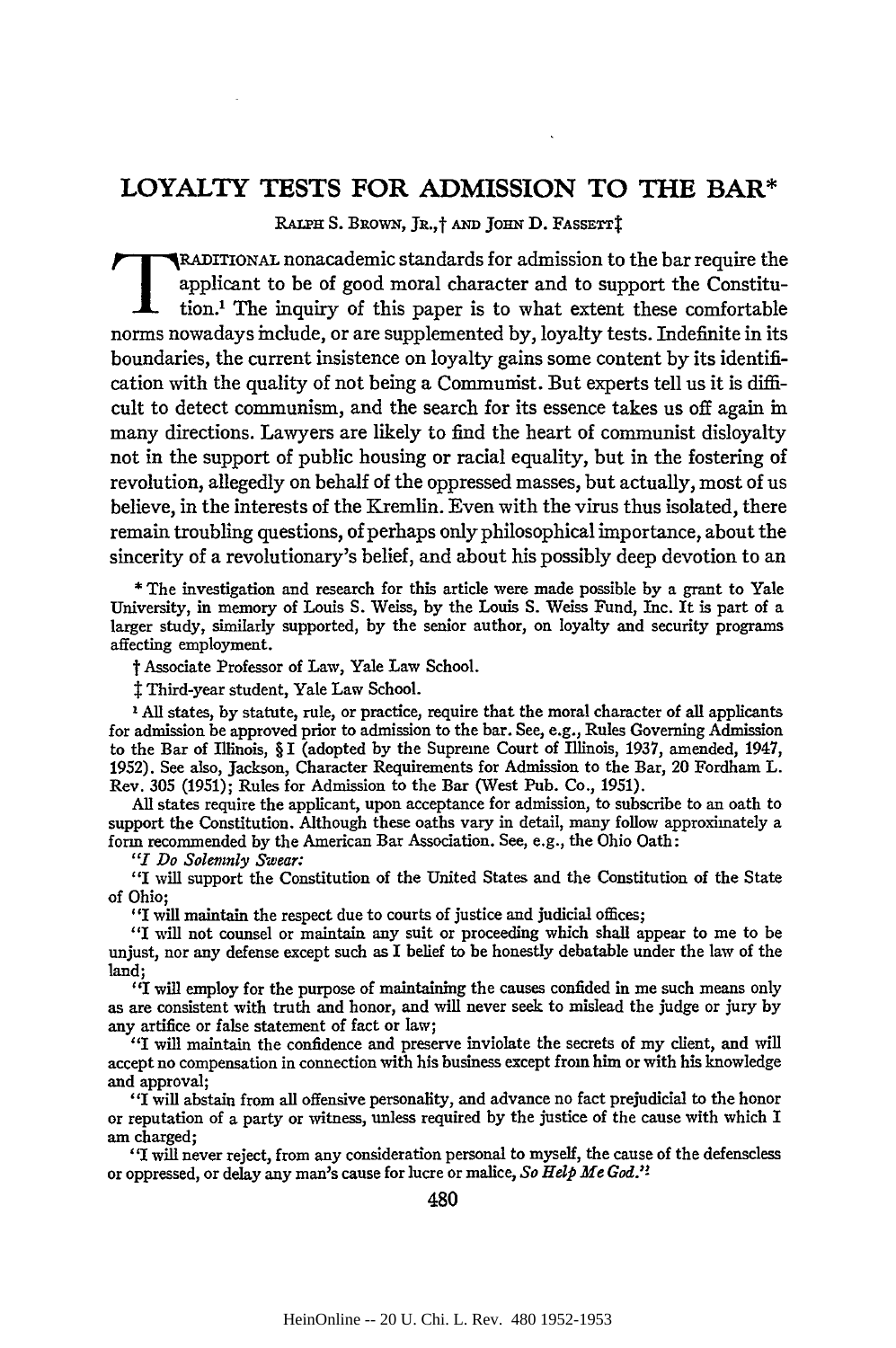# LOYALTY **TESTS** FOR **ADMISSION** TO THE BAR\*

RALPH S. BROWN, JR.,<sup>†</sup> AND JOHN D. FASSETTİ

**TRADITIONAL nonacademic standards for admission to the bar require the** applicant to be of good moral character and to support the Constitution.<sup>1</sup> The inquiry of this paper is to what extent these comfortable norms nowadays include, or are supplemented by, loyalty tests. Indefinite in its boundaries, the current insistence on loyalty gains some content by its identification with the quality of not being a Communist. But experts tell us it is difficult to detect communism, and the search for its essence takes us off again in many directions. Lawyers are likely to find the heart of communist disloyalty not in the support of public housing or racial equality, but in the fostering of revolution, allegedly on behalf of the oppressed masses, but actually, most of us believe, in the interests of the Kremlin. Even with the virus thus isolated, there remain troubling questions, of perhaps only philosophical importance, about the sincerity of a revolutionary's belief, and about his possibly deep devotion to an

\* The investigation and research for this article were made possible by a grant to Yale University, in memory of Louis S. Weiss, **by** the Louis S. Weiss Fund, Inc. It is part of a larger study, similarly supported, by the senior author, on loyalty and security programs affecting employment.

t Associate Professor of Law, Yale Law School.

Third-year student, Yale Law School.

**1** All states, by statute, rule, or practice, require that the moral character of all applicants for admission be approved prior to admission to the bar. See, e.g., Rules Governing Admission to the Bar of Illinois, § I (adopted by the Supreme Court of Illinois, 1937, amended, 1947, 1952). See also, Jackson, Character Requirements for Admission to the Bar, 20 Fordham L. Rev. 305 (1951); Rules for Admission to the Bar (West Pub. Co., 1951).

All states require the applicant, upon acceptance for admission, to subscribe to an oath to support the Constitution. Although these oaths vary in detail, many follow approximately a form recommended **by** the American Bar Association. See, e.g., the Ohio Oath:

*"I Do Solemnly Swear:*

**"I** will support the Constitution of the United States and the Constitution of the State of Ohio;

"I will maintain the respect due to courts of justice and judicial offices;

"I *will* not counsel or maintain any suit or proceeding which shall appear to me to be unjust, nor any defense except such as I belief to be honestly debatable under the law of the land;

"I will employ for the purpose of maintaining the causes confided in me such means only as are consistent with truth and honor, and will never seek to mislead the judge or jury by any artifice or false statement of fact or law;

"I will maintain the confidence and preserve inviolate the secrets of my client, and will accept no compensation in connection with his business except from him or with his knowledge and approval;

"I will abstain from all offensive personality, and advance no fact prejudicial to the honor or reputation of a party or witness, unless required **by** the justice of the cause with which I am charged;

**"I** will never reject, from any consideration personal to myself, the cause of the defenseless or oppressed, or delay any man's cause for lucre or malice, *So Help Me God.'!*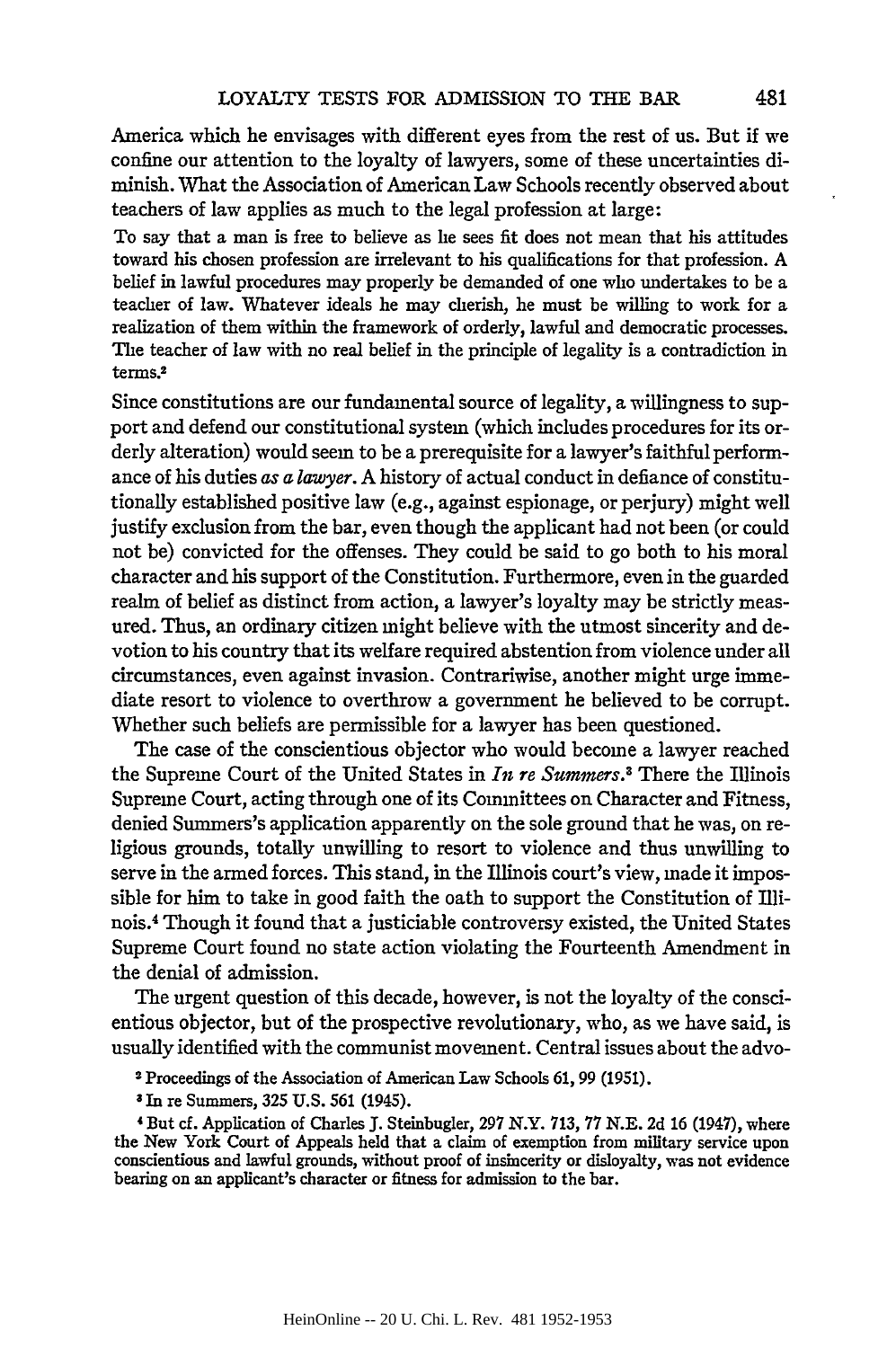America which he envisages with different eyes from the rest of us. But if we confine our attention to the loyalty of lawyers, some of these uncertainties diminish. What the Association of American Law Schools recently observed about teachers of law applies as much to the legal profession at large:

To say that a man is free to believe as he sees fit does not mean that his attitudes toward his chosen profession are irrelevant to his qualifications for that profession. A belief in lawful procedures may properly be demanded of one who undertakes to be a teacher of law. Whatever ideals he may cherish, he must be willing to work for a realization of them within the framework of orderly, lawful and democratic processes. The teacher of law with no real belief in the principle of legality is a contradiction in terms.<sup>2</sup>

Since constitutions are our fundamental source of legality, a willingness to support and defend our constitutional system (which includes procedures for its orderly alteration) would seem to be a prerequisite for a lawyer's faithful performance of his duties as a *lawyer.* A history of actual conduct in defiance of constitutionally established positive law (e.g., against espionage, or perjury) might well justify exclusion from the bar, even though the applicant had not been (or could not be) convicted for the offenses. They could be said to go both to his moral character and his support of the Constitution. Furthermore, even in the guarded realm of belief as distinct from action, a lawyer's loyalty may be strictly measured. Thus, an ordinary citizen might believe with the utmost sincerity and devotion to his country that its welfare required abstention from violence under all circumstances, even against invasion. Contrariwise, another might urge immediate resort to violence to overthrow a government he believed to be corrupt. Whether such beliefs are permissible for a lawyer has been questioned.

The case of the conscientious objector who would become a lawyer reached the Supreme Court of the United States in *In re Summers.'* There the Illinois Supreme Court, acting through one of its Committees on Character and Fitness, denied Summers's application apparently on the sole ground that he was, on religious grounds, totally unwilling to resort to violence and thus unwilling to serve in the armed forces. This stand, in the Illinois court's view, made it impossible for him to take in good faith the oath to support the Constitution of Illinois.4 Though it found that a justiciable controversy existed, the United States Supreme Court found no state action violating the Fourteenth Amendment in the denial of admission.

The urgent question of this decade, however, is not the loyalty of the conscientious objector, but of the prospective revolutionary, who, as we have said, is usually identified with the communist movement. Central issues about the advo-

<sup>2</sup> Proceedings of the Association of American Law Schools **61,** 99 (1951).

**<sup>3</sup>** In re Summers, 325 U.S. 561 (1945).

<sup>4</sup> But *d.* Application of Charles **J.** Steinbugler, 297 N.Y. 713, 77 N.E. 2d 16 (1947), where the New York Court of Appeals held that a claim of exemption from military service upon conscientious and lawful grounds, without proof of insincerity or disloyalty, was not evidence bearing on an applicant's character or fitness for admission to the bar.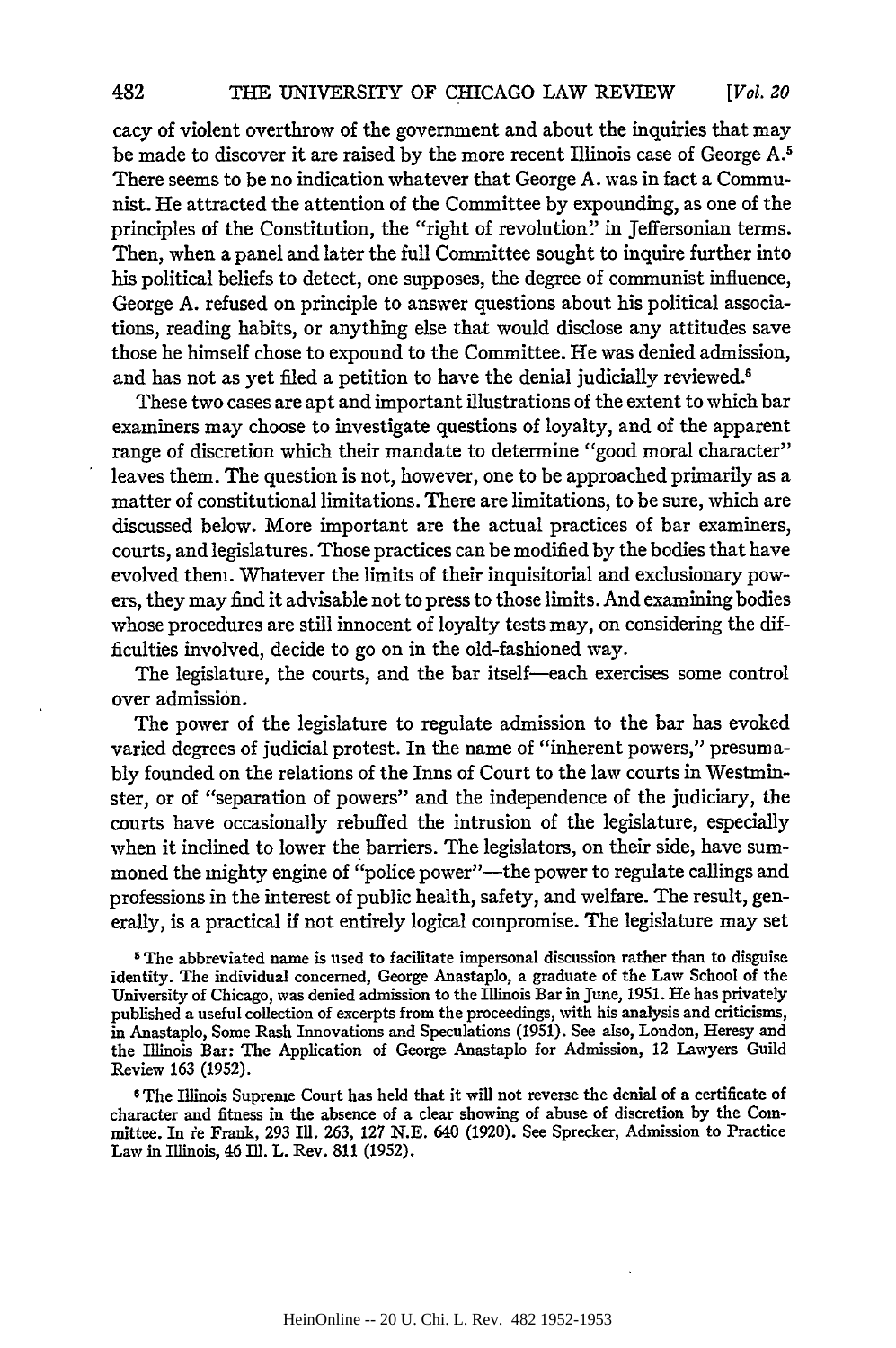cacy of violent overthrow of the government and about the inquiries that may be made to discover it are raised by the more recent Illinois case of George A.<sup>5</sup> There seems to be no indication whatever that George A. was in fact a Communist. He attracted the attention of the Committee by expounding, as one of the principles of the Constitution, the "right of revolution" in Jeffersonian terms. Then, when a panel and later the full Committee sought to inquire further into his political beliefs to detect, one supposes, the degree of communist influence, George A. refused on principle to answer questions about his political associations, reading habits, or anything else that would disclose any attitudes save those he himself chose to expound to the Committee. He was denied admission, and has not as yet filed a petition to have the denial judicially reviewed.<sup>6</sup>

These two cases are apt and important illustrations of the extent to which bar examiners may choose to investigate questions of loyalty, and of the apparent range of discretion which their mandate to determine "good moral character" leaves them. The question is not, however, one to be approached primarily as a matter of constitutional limitations. There are limitations, to be sure, which are discussed below. More important are the actual practices of bar examiners, courts, and legislatures. Those practices can be modified by the bodies that have evolved them. Whatever the limits of their inquisitorial and exclusionary powers, they may find it advisable not to press to those limits. And examining bodies whose procedures are still innocent of loyalty tests may, on considering the difficulties involved, decide to go on in the old-fashioned way.

The legislature, the courts, and the bar itself-each exercises some control over admission.

The power of the legislature to regulate admission to the bar has evoked varied degrees of judicial protest. In the name of "inherent powers," presumably founded on the relations of the Inns of Court to the law courts in Westminster, or of "separation of powers" and the independence of the judiciary, the courts have occasionally rebuffed the intrusion of the legislature, especially when it inclined to lower the barriers. The legislators, on their side, have summoned the mighty engine of "police power"-the power to regulate callings and professions in the interest of public health, safety, and welfare. The result, generally, is a practical if not entirely logical compromise. The legislature may set

**5** The abbreviated name is used to facilitate impersonal discussion rather than to disguise identity. The individual concerned, George Anastaplo, a graduate of the Law School of the University of Chicago, was denied admission to the Illinois Bar in June, 1951. He has privately published a useful collection of excerpts from the proceedings, with his analysis and criticisms, in Anastaplo, Some Rash Innovations and Speculations (1951). See also, London, Heresy and the Illinois Bar: The Application of George Anastaplo for Admission, 12 Lawyers Guild Review 163 (1952).

**6** The Illinois Supreme Court has held that it will not reverse the denial of a certificate of character and fitness in the absence of a clear showing of abuse of discretion **by** the Committee. In ie Frank, 293 Ill. **263,** 127 N.E. 640 (1920). See Sprecker, Admission to Practice Law in Illinois, 46 Ill. L. Rev. **811 (1952).**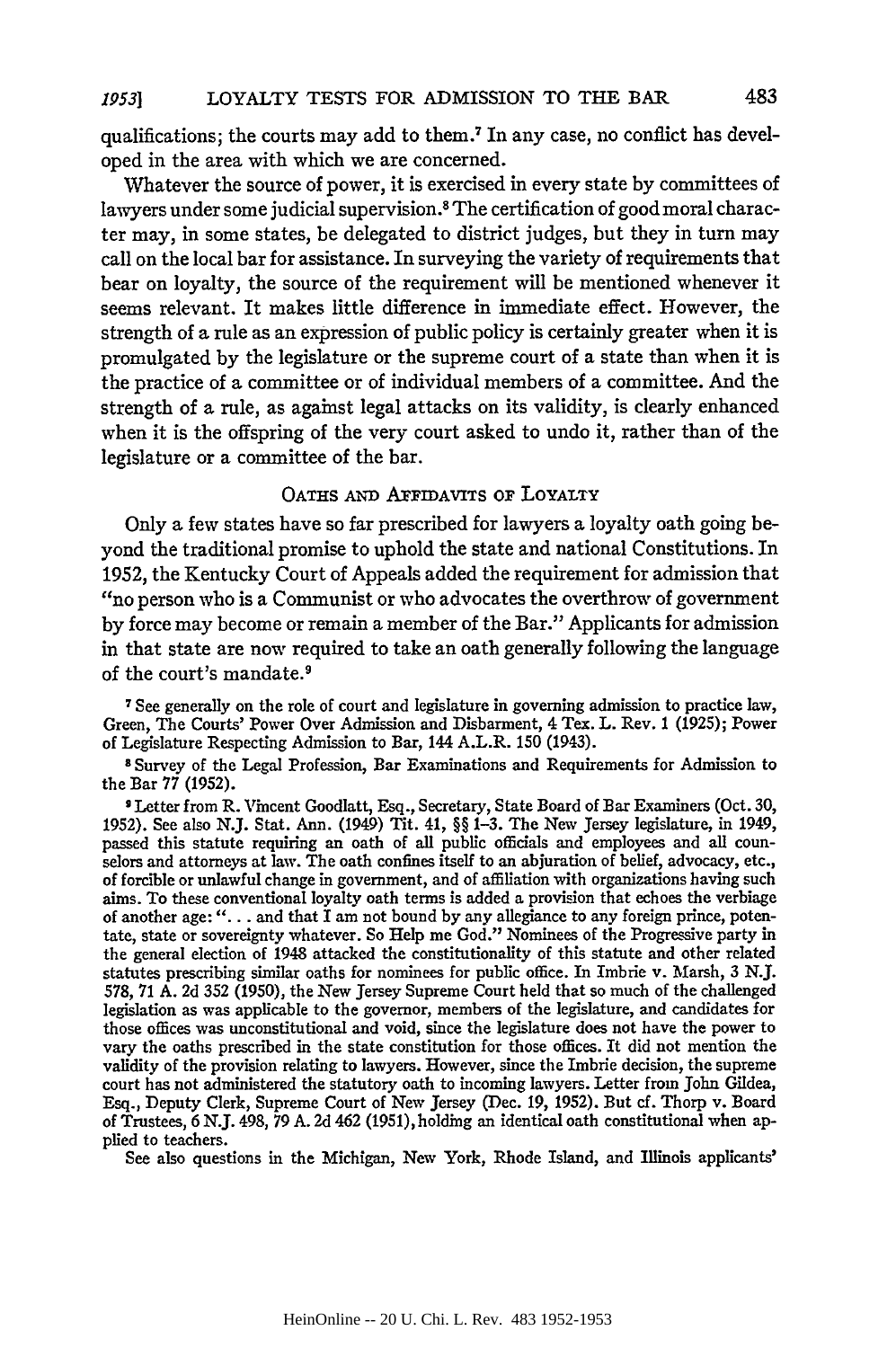qualifications; the courts may add to them.7 In any case, no conflict has developed in the area with which we are concerned.

Whatever the source of power, it is exercised in every state by committees of lawyers under some judicial supervision.<sup>8</sup> The certification of good moral character may, in some states, be delegated to district judges, but they in turn may call on the local bar for assistance. In surveying the variety of requirements that bear on loyalty, the source of the requirement will be mentioned whenever it seems relevant. It makes little difference in immediate effect. However, the strength of a rule as an expression of public policy is certainly greater when it is promulgated by the legislature or the supreme court of a state than when it is the practice of a committee or of individual members of a committee. And the strength of a rule, as against legal attacks on its validity, is clearly enhanced when it is the offspring of the very court asked to undo it, rather than of the legislature or a committee of the bar.

## OATHs **AND** AFIDAVITS **OF** LOYALTY

Only a few states have so far prescribed for lawyers a loyalty oath going beyond the traditional promise to uphold the state and national Constitutions. In 1952, the Kentucky Court of Appeals added the requirement for admission that "no person who is a Communist or who advocates the overthrow of government by force may become or remain a member of the Bar." Applicants for admission in that state are now required to take an oath generally following the language of the court's mandate.9

**7** See generally on the role of court and legislature in governing admission to practice law, Green, The Courts' Power Over Admission and Disbarment, 4 Tex. L. Rev. 1 (1925); Power of Legislature Respecting Admission to Bar, 144 A.L.R. **150** (1943).

**8** Survey of the Legal Profession, Bar Examinations and Requirements for Admission to the Bar 77 (1952).

**9** Letter from R. Vincent Goodlatt, Esq., Secretary, State Board of Bar Examiners (Oct. **30,** 1952). See also N.J. Stat. Ann. (1949) Tit. 41, §§ 1-3. The New Jersey legislature, in 1949, passed this statute requiring an oath of all public officials and employees and all counselors and attorneys at law. The oath confines itself to an abjuration of belief, advocacy, etc., of forcible or unlawful change in government, and of affiliation with organizations having such aims. To these conventional loyalty oath terms is added a provision that echoes the verbiage of another age: "... and that I am not bound by any allegiance to any foreign prince, potentate, state or sovereignty whatever. So Help me God." Nominees of the Progressive party in the general election of 1948 attacked the constitutionality of this statute and other related statutes prescribing similar oaths for nominees for public office. In Imbrie v. Marsh, 3 N.J. 578, 71 A. 2d 352 (1950), the New Jersey Supreme Court held that so much of the challenged legislation as was applicable to the governor, members of the legislature, and candidates for those offices was unconstitutional and void, since the legislature does not have the power to vary the oaths prescribed in the state constitution for those offices. It did not mention the validity of the provision relating to lawyers. However, since the Imbrie decision, the supreme court has not administered the statutory oath to incoming lawyers. Letter from John Gildea, Esq., Deputy Clerk, Supreme Court of New Jersey (Dec. 19, 1952). But cf. Thorp v. Board of Trustees, 6 N.J. 498, 79 A. **2d** 462 (1951), holding an identical oath constitutional when applied to teachers.

See also questions in the Michigan, New York, Rhode Island, and Illinois applicants'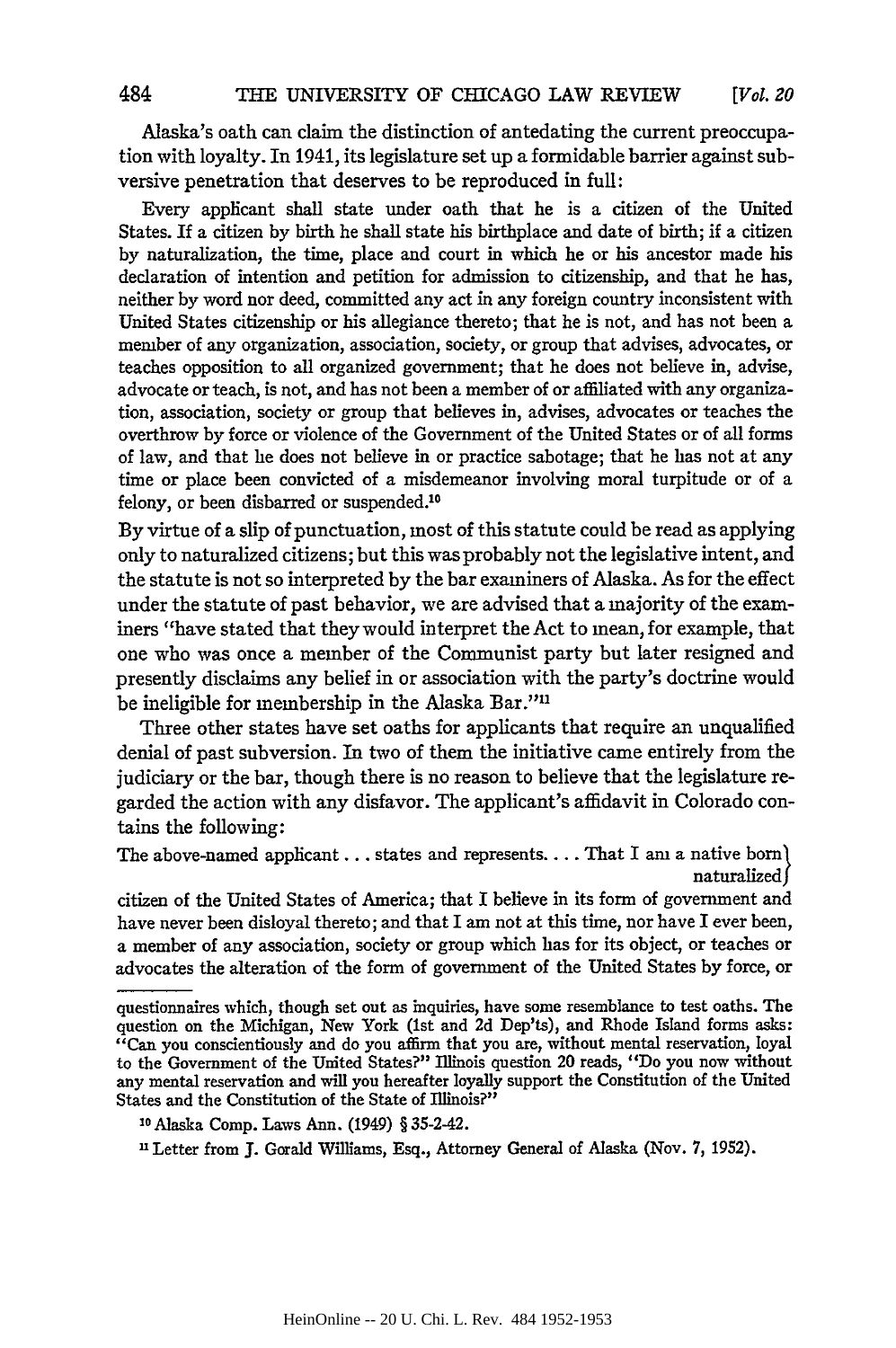Alaska's oath can claim the distinction of antedating the current preoccupation with loyalty. In 1941, its legislature set up a formidable barrier against subversive penetration that deserves to be reproduced in full:

Every applicant shall state under oath that he is a citizen of the United States. If a citizen by birth he shall state his birthplace and date of birth; if a citizen by naturalization, the time, place and court in which he or his ancestor made his declaration of intention and petition for admission to citizenship, and that he has, neither by word nor deed, committed any act in any foreign country inconsistent with United States citizenship or his allegiance thereto; that he is not, and has not been a member of any organization, association, society, or group that advises, advocates, or teaches opposition to all organized government; that he does not believe in, advise, advocate or teach, is not, and has not been a member of or affiliated with any organization, association, society or group that believes in, advises, advocates or teaches the overthrow by force or violence of the Government of the United States or of all forms of law, and that he does not believe in or practice sabotage; that he has not at any time or place been convicted of a misdemeanor involving moral turpitude or of a felony, or been disbarred or suspended.<sup>10</sup>

By virtue of a slip of punctuation, most of this statute could be read as applying only to naturalized citizens; but this was probably not the legislative intent, and the statute is not so interpreted by the bar examiners of Alaska. As for the effect under the statute of past behavior, we are advised that a majority of the examiners "have stated that they would interpret the Act to mean, for example, that one who was once a member of the Communist party but later resigned and presently disclaims any belief in or association with the party's doctrine would be ineligible for membership in the Alaska Bar."<sup>11</sup>

Three other states have set oaths for applicants that require an unqualified denial of past subversion. In two of them the initiative came entirely from the judiciary or the bar, though there is no reason to believe that the legislature regarded the action with any disfavor. The applicant's affidavit in Colorado contains the following:

The above-named applicant... states and represents.... That I am a native boml naturalized f

citizen of the United States of America; that I believe in its form of government and have never been disloyal thereto; and that I am not at this time, nor have I ever been, a member of any association, society or group which has for its object, or teaches or advocates the alteration of the form of government of the United States by force, or

questionnaires which, though set out as inquiries, have some resemblance to test oaths. The question on the Michigan, New York (1st and 2d Dep'ts), and Rhode Island forms asks: "Can you conscientiously and do you affirm that you are, without mental reservation, loyal to the Government of the United States?" Illinois question 20 reads, "Do you now without any mental reservation and will you hereafter loyally support the Constitution of the United States and the Constitution of the State of Illinois?"

**<sup>10</sup>**Alaska Comp. Laws Ann. (1949) § 35-2-42.

**<sup>1</sup>** Letter from J. Gerald Williams, Esq., Attorney General of Alaska (Nov. **7,** 1952).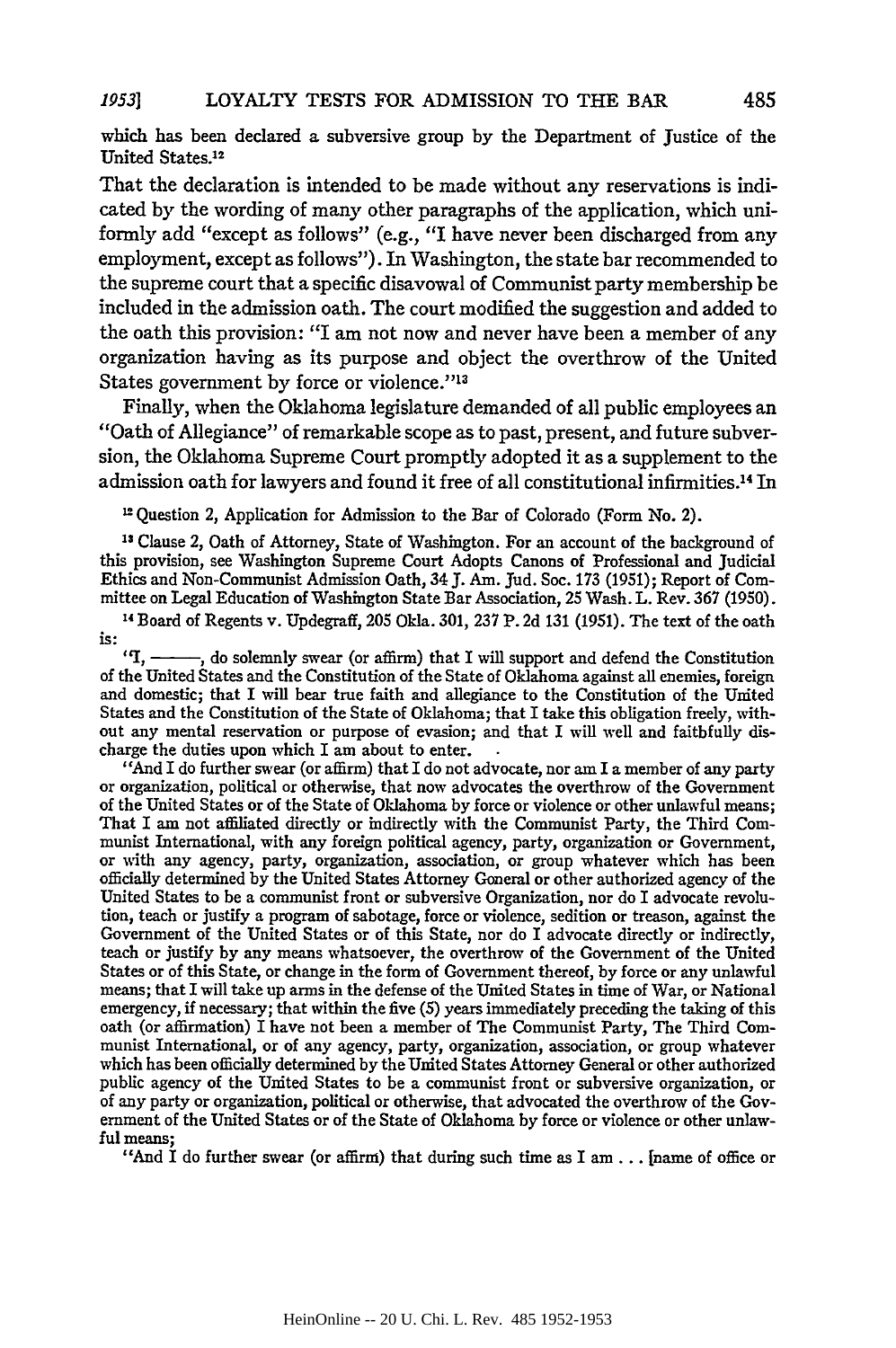which has been declared a subversive group **by** the Department of Justice of the United States.<sup>12</sup>

That the declaration is intended to be made without any reservations is indicated by the wording of many other paragraphs of the application, which uniformly add "except as follows" (e.g., "I have never been discharged from any employment, except as follows"). In Washington, the state bar recommended to the supreme court that a specific disavowal of Communist party membership be included in the admission oath. The court modified the suggestion and added to the oath this provision: "I am not now and never have been a member of any organization having as its purpose and object the overthrow of the United States government by force or violence."<sup>13</sup>

Finally, when the Oklahoma legislature demanded of all public employees an "Oath of Allegiance" of remarkable scope as to past, present, and future subversion, the Oklahoma Supreme Court promptly adopted it as a supplement to the admission oath for lawyers and found it free of all constitutional infirmities.14 In

Question 2, Application for Admission to the Bar of Colorado (Form No. 2).

**"3** Clause 2, Oath of Attorney, State of Washington. For an account of the background of this provision, see Washington Supreme Court Adopts Canons of Professional and Judicial Ethics and Non-Communist Admission Oath, 34 **J.** Am. Jud. Soc. 173 (1951); Report of Committee on Legal Education of Washington State Bar Association, 25 Wash. L. Rev. **367** (1950).

"4 Board of Regents v. Updegraff, 205 Okla. **301,** 237 P. 2d 131 (1951). The text of the oath is:

*I,* **- ,** do solemnly swear (or affirm) that I will support and defend the Constitution of the United States and the Constitution of the State of Oklahoma against all enemies, foreign and domestic; that I will bear true faith and allegiance to the Constitution of the United States and the Constitution of the State of Oklahoma; that I take this obligation freely, without any mental reservation or purpose of evasion; and that I will well and faithfully dis-

charge the duties upon which I am about to enter.<br>
"And I do further swear (or affirm) that I do not advocate, nor am I a member of any party<br>
or organization, political or otherwise, that now advocates the overthrow of th of the United States or of the State of Oklahoma by force or violence or other unlawful means; That I am not affiliated directly or indirectly with the Communist Party, the Third Communist International, with any foreign political agency, party, organization or Government, or with any agency, party, organization, association, or group whatever which has been officially determined by the United States Attorney General or other authorized agency of the United States to be a communist front or subversive Organization, nor do I advocate revolution, teach or justify a program of sabotage, force or violence, sedition or treason, against the Government of the United States or of this State, nor do I advocate directly or indirectly, teach or justify **by** any means whatsoever, the overthrow of the Government of the United States or of this State, or change in the form of Government thereof, by force or any unlawful means; that I will take up arms in the defense of the United States in time of War, or National emergency, **if** necessary; that within the five (5) years immediately preceding the taking of this oath (or affirmation) I have not been a member of The Communist Party, The Third Communist International, or of any agency, party, organization, association, or group whatever which has been officially determined **by** the United States Attorney General or other authorized public agency of the United States to be a communist front or subversive organization, or of any party or organization, political or otherwise, that advocated the overthrow of the Government of the United States or of the State of Oklahoma by force or violence or other unlawful means;

"And I do further swear (or affirm) that during such time as I **am...** [name of office or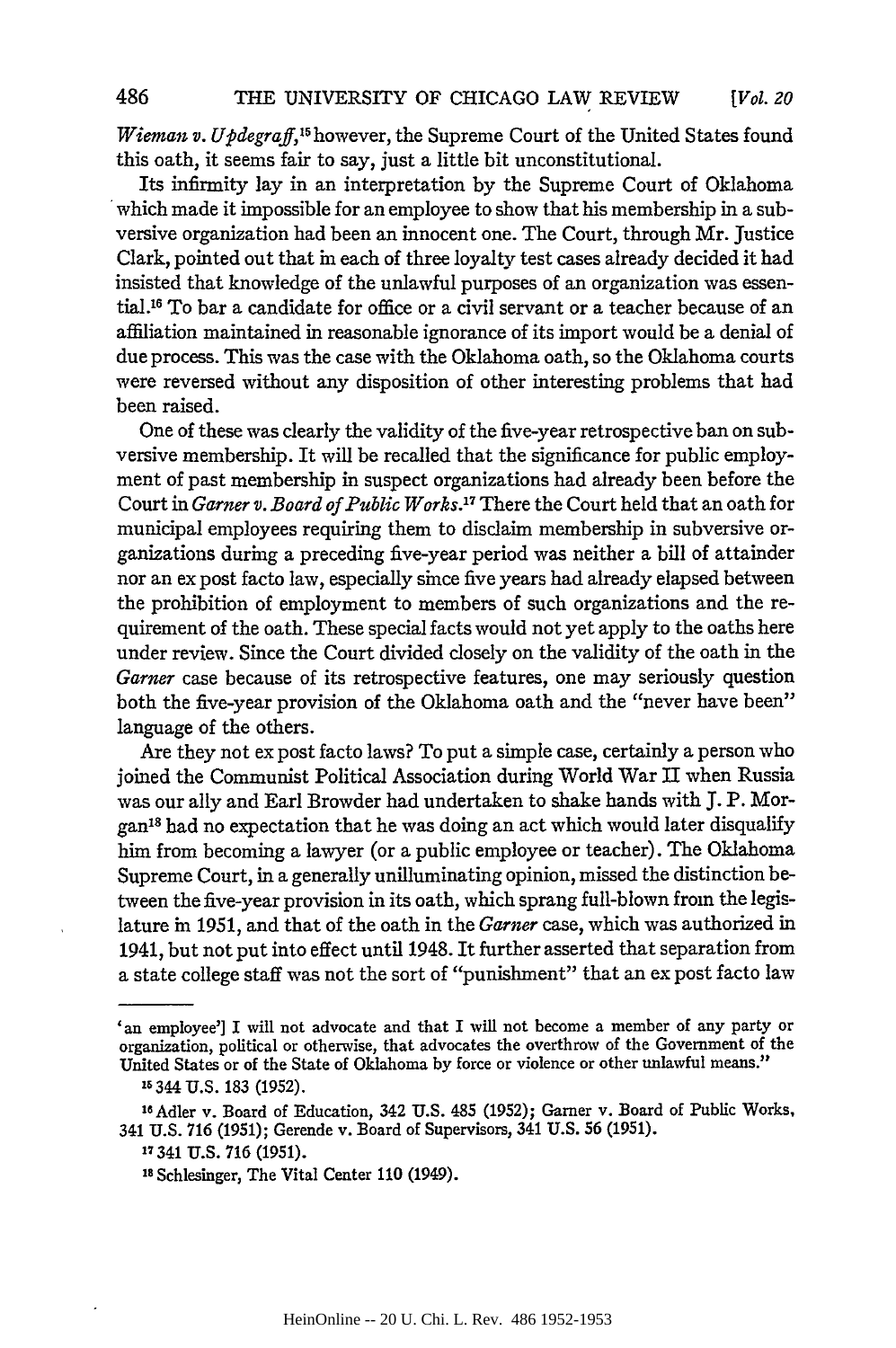*Wieman v. Updegraff*,<sup>15</sup> however, the Supreme Court of the United States found this oath, it seems fair to say, just a little bit unconstitutional.

Its infirmity lay in an interpretation by the Supreme Court of Oklahoma which made it impossible for an employee to show that his membership in a subversive organization had been an innocent one. The Court, through Mr. justice Clark, pointed out that in each of three loyalty test cases already decided it had insisted that knowledge of the unlawful purposes of an organization was essential."6 To bar a candidate for office or a civil servant or a teacher because of an affiliation maintained in reasonable ignorance of its import would be a denial of due process. This was the case with the Oklahoma oath, so the Oklahoma courts were reversed without any disposition of other interesting problems that had been raised.

One of these was clearly the validity of the five-year retrospective ban on subversive membership. It will be recalled that the significance for public employment of past membership in suspect organizations had already been before the Court in *Garner v. Board of Public Works.<sup>17</sup>*There the Court held that an oath for municipal employees requiring them to disclaim membership in subversive organizations during a preceding five-year period was neither a bill of attainder nor an ex post facto law, especially since five years had already elapsed between the prohibition of employment to members of such organizations and the requirement of the oath. These special facts would not yet apply to the oaths here under review. Since the Court divided closely on the validity of the oath in the *Garner* case because of its retrospective features, one may seriously question both the five-year provision of the Oklahoma oath and the "never have been" language of the others.

Are they not ex post facto laws? To put a simple case, certainly a person who joined the Communist Political Association during World War II when Russia was our ally and Earl Browder had undertaken to shake hands with **J.** P. Morgan<sup>18</sup> had no expectation that he was doing an act which would later disqualify him from becoming a lawyer (or a public employee or teacher). The Oklahoma Supreme Court, in a generally unilluminating opinion, missed the distinction between the five-year provision in its oath, which sprang full-blown from the legislature in **1951,** and that of the oath in the *Garner* case, which was authorized in 1941, but not put into effect until 1948. It further asserted that separation from a state college staff was not the sort of "punishment" that an ex post facto law

<sup>&#</sup>x27;an employee'] I will not advocate and that I will not become a member of any party or organization, political or otherwise, that advocates the overthrow of the Government of the United States or of the State of Oklahoma by force or violence or other unlawful means."

**<sup>16</sup>** 344 **U.S. 183** (1952).

**<sup>16</sup>Adler** v. Board of Education, 342 U.S. 485 (1952); Garner v. Board of Public Works, 341 U.S. **716 (1951);** Gerende v. Board of Supervisors, 341 U.S. 56 (1951).

**<sup>7</sup>** 341 **U.S. 716 (1951).**

**Is** Schlesinger, The Vital Center 110 (1949).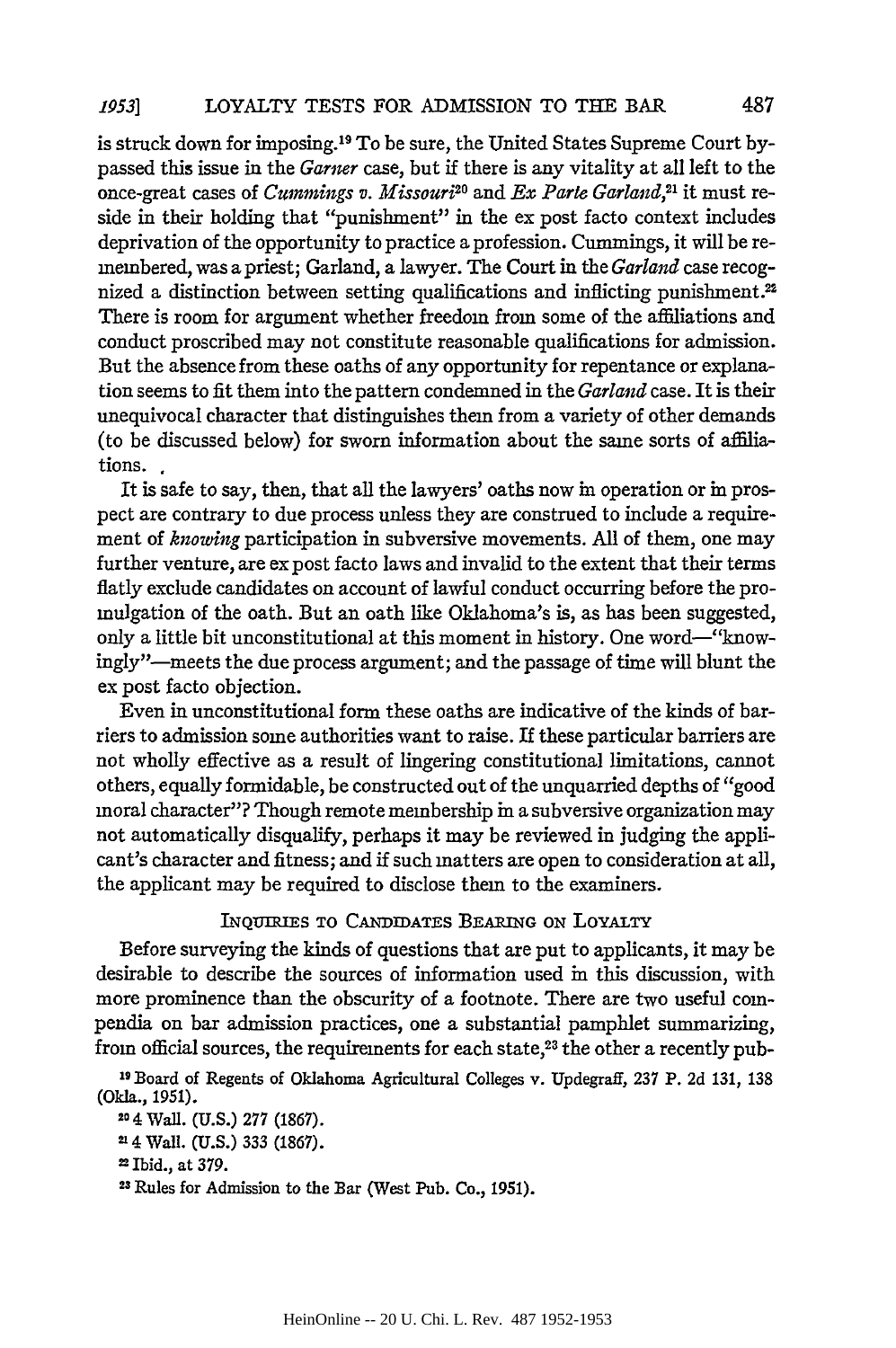is struck down for imposing. 19 To be sure, the United States Supreme Court bypassed this issue in the *Garner* case, but if there is any vitality at all left to the once-great cases of *Cummings v. Missouri*<sup>20</sup> and *Ex Parte Garland*,<sup>21</sup> it must reside in their holding that "punishment" in the ex post facto context includes deprivation of the opportunity to practice a profession. Cummings, it will be remembered, was a priest; Garland, a lawyer. The Court in the *Garland* case recognized a distinction between setting qualifications and inflicting punishment.<sup>22</sup> There is room for argument whether freedom from some of the affiliations and conduct proscribed may not constitute reasonable qualifications for admission. But the absence from these oaths of any opportunity for repentance or explanation seems to fit them into the pattern condemned in the *Garland* case. It is their unequivocal character that distinguishes them from a variety of other demands (to be discussed below) for sworn information about the same sorts of affiliations.

It is safe to say, then, that all the lawyers' oaths now in operation or in prospect are contrary to due process unless they are construed to include a requirement of *knowing* participation in subversive movements. All of them, one may further venture, are ex post facto laws and invalid to the extent that their terms flatly exclude candidates on account of lawful conduct occurring before the promulgation of the oath. But an oath like Oklahoma's is, as has been suggested, only a little bit unconstitutional at this moment in history. One word-"knowingly"--meets the due process argument; and the passage of time will blunt the ex post facto objection.

Even in unconstitutional form these oaths are indicative of the kinds of barriers to admission some authorities want to raise. If these particular barriers are not wholly effective as a result of lingering constitutional limitations, cannot others, equally formidable, be constructed out of the unquarried depths of "good moral character"? Though remote membership in a subversive organization may not automatically disqualify, perhaps it may be reviewed in judging the applicant's character and fitness; and if such matters are open to consideration at all, the applicant may be required to disclose them to the examiners.

### **INQUIRIES** TO CANDIDATES BEARING ON LOYALTY

Before surveying the kinds of questions that are put to applicants, it may be desirable to describe the sources of information used in this discussion, with more prominence than the obscurity of a footnote. There are two useful compendia on bar admission practices, one a substantial pamphlet summarizing, from official sources, the requirements for each state,23 the other a recently pub-

**19** Board of Regents of Oklahoma Agricultural Colleges v. Updegraff, 237 P. 2d 131, 138 (Okla., 1951).

**20** 4 Wall. (U.S.) 277 (1867).

**214** Wall. (U.S.) 333 (1867).

2 Ibid., at 379. **<sup>2</sup>**

**3** Rules for Admission to the Bar (West Pub. Co., 1951).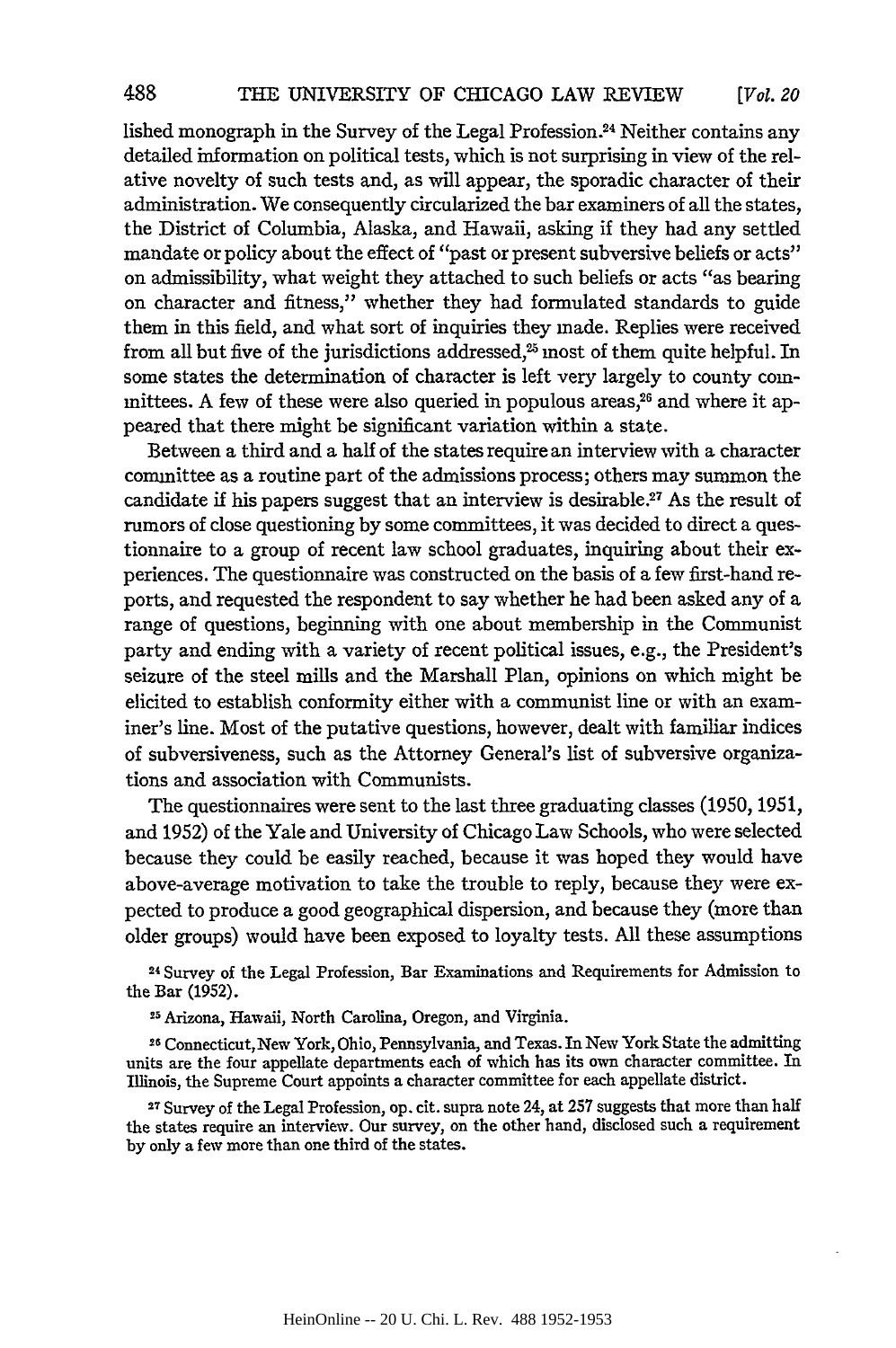lished monograph in the Survey of the Legal Profession.<sup>24</sup> Neither contains any detailed information on political tests, which is not surprising in view of the relative novelty of such tests and, as will appear, the sporadic character of their administration. We consequently circularized the bar examiners of all the states, the District of Columbia, Alaska, and Hawaii, asking if they had any settled mandate or policy about the effect of "past or present subversive beliefs or acts" on admissibility, what weight they attached to such beliefs or acts "as bearing on character and fitness," whether they had formulated standards to guide them in this field, and what sort of inquiries they made. Replies were received from all but five of the jurisdictions addressed,<sup>25</sup> most of them quite helpful. In some states the determination of character is left very largely to county committees. A few of these were also queried in populous areas,<sup>26</sup> and where it appeared that there might be significant variation within a state.

Between a third and a half of the states require an interview with a character committee as a routine part of the admissions process; others may summon the candidate if his papers suggest that an interview is desirable.27 As the result of rumors of close questioning by some committees, it was decided to direct a questionnaire to a group of recent law school graduates, inquiring about their experiences. The questionnaire was constructed on the basis of a few first-hand reports, and requested the respondent to say whether he had been asked any of a range of questions, beginning with one about membership in the Communist party and ending with a variety of recent political issues, e.g., the President's seizure of the steel mills and the Marshall Plan, opinions on which might be elicited to establish conformity either with a communist line or with an examiner's line. Most of the putative questions, however, dealt with familiar indices of subversiveness, such as the Attorney General's list of subversive organizations and association with Communists.

The questionnaires were sent to the last three graduating classes (1950, 1951, and 1952) of the Yale and University of Chicago Law Schools, who were selected because they could be easily reached, because it was hoped they would have above-average motivation to take the trouble to reply, because they were expected to produce a good geographical dispersion, and because they (more than older groups) would have been exposed to loyalty tests. All these assumptions

**<sup>24</sup>**Survey of the Legal Profession, Bar Examinations and Requirements for Admission to the Bar (1952).

**2 5** Arizona, Hawaii, North Carolina, Oregon, and Virginia.

**<sup>26</sup>**Connecticut, New York, Ohio, Pennsylvania, and Texas. In New York State the admitting units are the four appellate departments each of which has its own character committee. In Illinois, the Supreme Court appoints a character committee for each appellate district.

**<sup>2</sup> <sup>7</sup>**Survey of the Legal Profession, op. cit. supra note 24, at **257** suggests that more than half the states require an interview. Our survey, on the other hand, disclosed such a requirement by only a few more than one third of the states.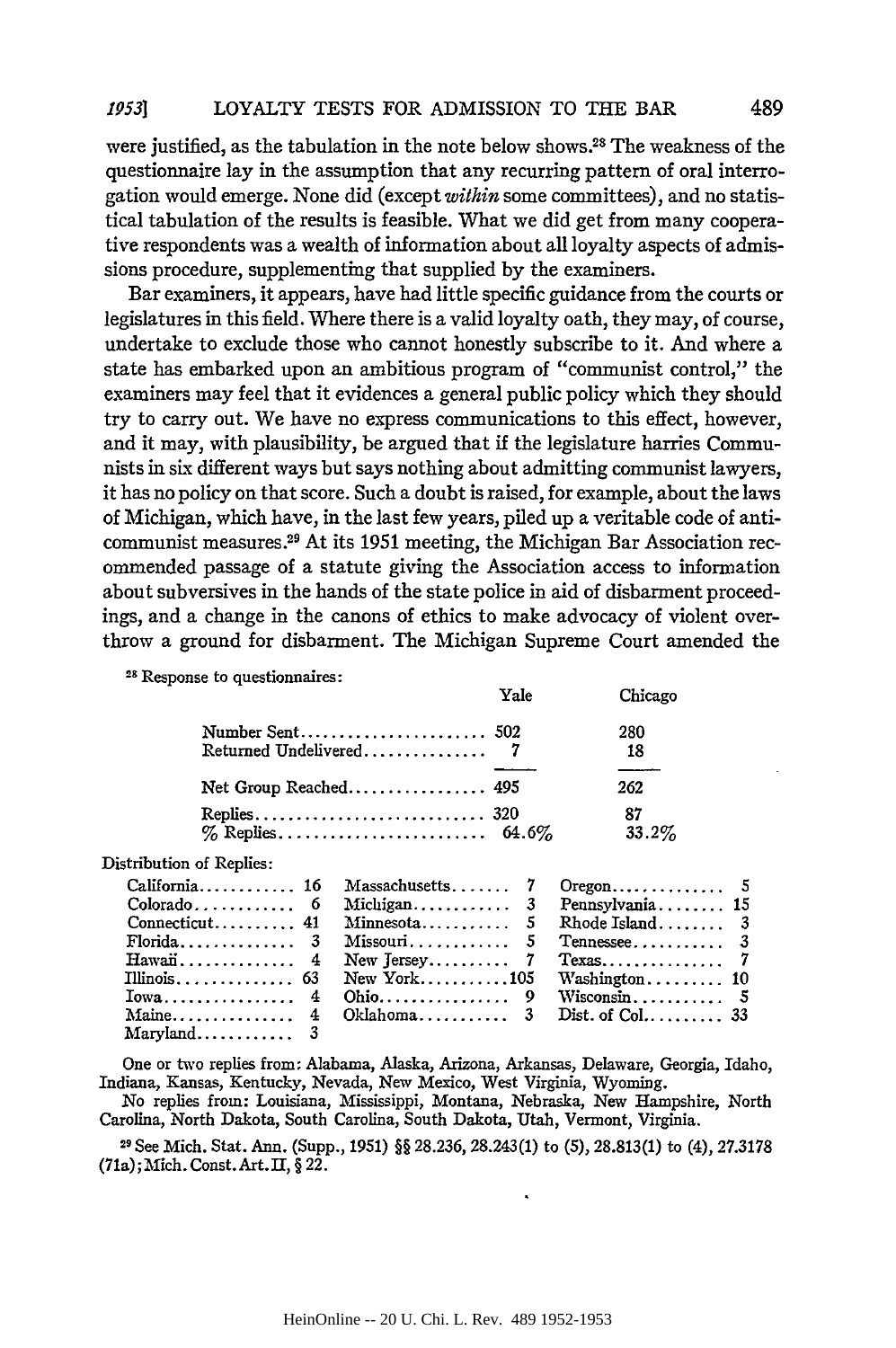were justified, as the tabulation in the note below shows.28 The weakness of the questionnaire lay in the assumption that any recurring pattern of oral interrogation would emerge. None did (except *within* some committees), and no statistical tabulation of the results is feasible. What we did get from many cooperative respondents was a wealth of information about all loyalty aspects of admissions procedure, supplementing that supplied by the examiners.

Bar examiners, it appears, have had little specific guidance from the courts or legislatures in this field. Where there is a valid loyalty oath, they may, of course, undertake to exclude those who cannot honestly subscribe to it. And where a state has embarked upon an ambitious program of "communist control," the examiners may feel that it evidences a general public policy which they should try to carry out. We have no express communications to this effect, however, and it may, with plausibility, be argued that if the legislature harries Communists in six different ways but says nothing about admitting communist lawyers, it has no policy on that score. Such a doubt is raised, for example, about the laws of Michigan, which have, in the last few years, piled up a veritable code of anticommunist measures.<sup>29</sup> At its 1951 meeting, the Michigan Bar Association recommended passage of a statute giving the Association access to information about subversives in the hands of the state police in aid of disbarment proceedings, and a change in the canons of ethics to make advocacy of violent overthrow a ground for disbarment. The Michigan Supreme Court amended the

| <sup>28</sup> Response to questionnaires: |      |          |
|-------------------------------------------|------|----------|
|                                           | Yale | Chicago  |
|                                           |      | 280      |
|                                           |      | 18       |
| Net Group Reached 495                     |      | 262      |
|                                           |      | 87       |
|                                           |      | $33.2\%$ |

Distribution of Replies:

|                                   | California 16 Massachusetts 7 Oregon 5 |  |
|-----------------------------------|----------------------------------------|--|
|                                   |                                        |  |
|                                   |                                        |  |
|                                   |                                        |  |
|                                   |                                        |  |
|                                   |                                        |  |
|                                   |                                        |  |
|                                   |                                        |  |
| $Marvland \ldots \ldots \ldots 3$ |                                        |  |

One or two replies from: Alabama, Alaska, Arizona, Arkansas, Delaware, Georgia, Idaho, Indiana, Kansas, Kentucky, Nevada, New Mexico, West Virginia, Wyoming.

No replies from: Louisiana, Mississippi, Montana, Nebraska, New Hampshire, North Carolina, North Dakota, South Carolina, South Dakota, Utah, Vermont, Virginia.

**<sup>29</sup>**See Mich. Stat. Ann. (Supp., 1951) §§ 28.236, 28.243(1) to (5), 28.813(1) to (4), 27.3178 (71a); Mich. Const. Art. II, § 22.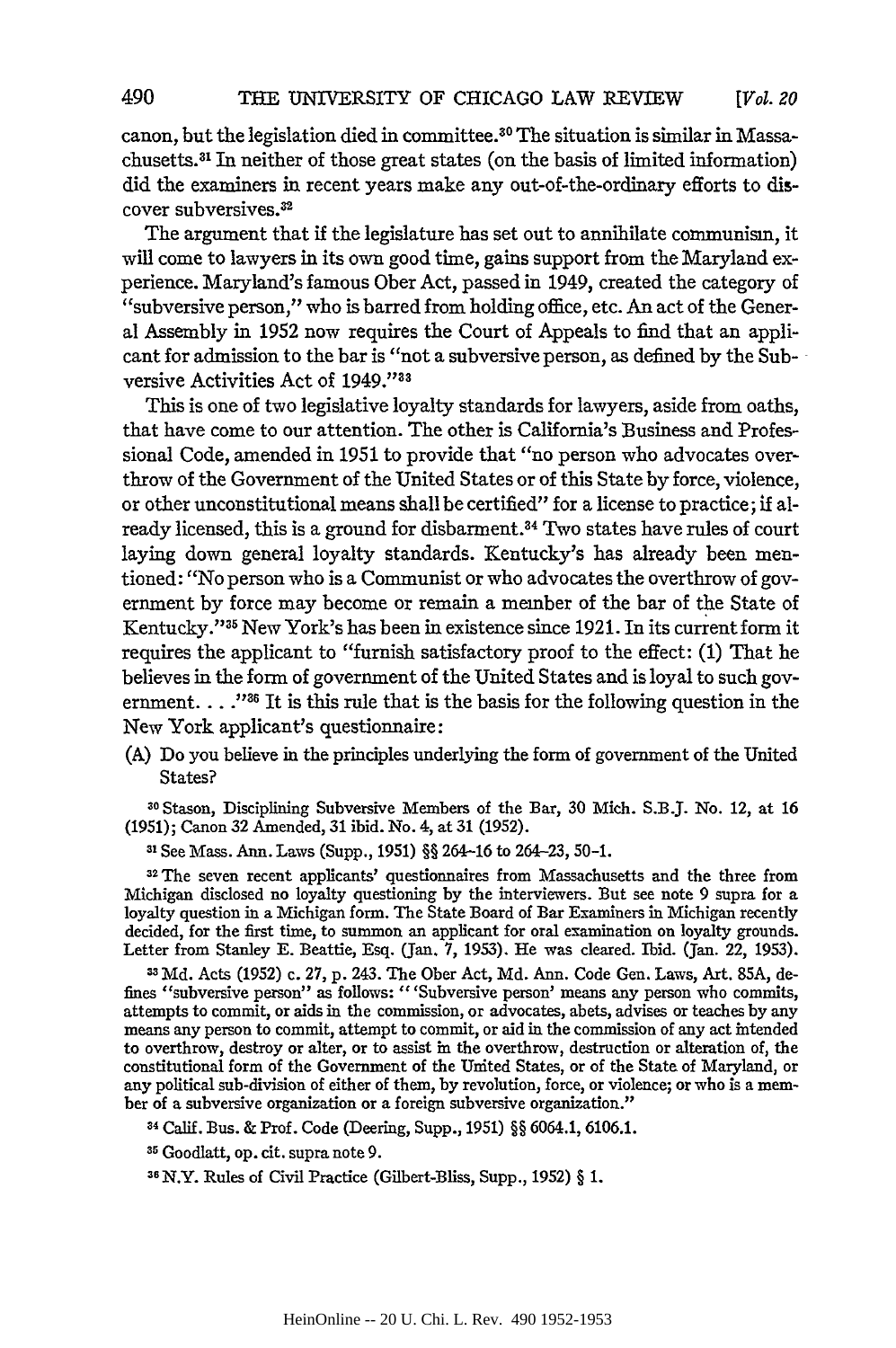canon, but the legislation died in committee.<sup>30</sup> The situation is similar in Massachusetts. 31 In neither of those great states (on the basis of limited information) did the examiners in recent years make any out-of-the-ordinary efforts to discover subversives.<sup>32</sup>

The argument that if the legislature has set out to annihilate communism, it will come to lawyers in its own good time, gains support from the Maryland experience. Maryland's famous Ober Act, passed in 1949, created the category of "subversive person," who is barred from holding office, etc. An act of the General Assembly in 1952 now requires the Court of Appeals to find that an applicant for admission to the bar is "not a subversive person, as defined **by** the Subversive Activities Act of 1949."33

This is one of two legislative loyalty standards for lawyers, aside from oaths, that have come to our attention. The other is California's Business and Professional Code, amended in 1951 to provide that "no person who advocates overthrow of the Government of the United States or of this State by force, violence, or other unconstitutional means shall be certified" for a license to practice; if already licensed, this is a ground for disbarment.34 Two states have rules of court laying down general loyalty standards. Kentucky's has already been mentioned: "No person who is a Communist or who advocates the overthrow of government by force may become or remain a member of the bar of the State of Kentucky."<sup>35</sup> New York's has been in existence since 1921. In its current form it requires the applicant to "furnish satisfactory proof to the effect: (1) That he believes in the form of government of the United States and is loyal to such government. . . .<sup>1286</sup> It is this rule that is the basis for the following question in the New York applicant's questionnaire:

(A) Do you believe in the principles underlying the form of government of the United States?

30Stason, Disciplining Subversive Members of the Bar, 30 Mich. S.BJ. No. 12, at 16 (1951); Canon 32 Amended, 31 ibid. No. 4, at 31 (1952).

**31** See Mass. Ann. Laws (Supp., 1951) §§ 264-16 to 264-23, 50-1.

<sup>32</sup>The seven recent applicants' questionnaires from Massachusetts and the three from Michigan disclosed no loyalty questioning by the interviewers. But see note 9 supra for a loyalty question in a Michigan form. The State Board of Bar Examiners in Michigan recently decided, for the first time, to summon an applicant for oral examination on loyalty grounds. Letter from Stanley E. Beattie, Esq. (Jan. 7, 1953). He was cleared. Ibid. (Jan. 22, 1953).

**31** Md. Acts (1952) c. 27, p. 243. The Ober Act, Md. Ann. Code Gen. Laws, Art. **85A,** defines "subversive person" as follows: "'Subversive person' means any person who commits, attempts to commit, or aids in the commission, or advocates, abets, advises or teaches by any means any person to commit, attempt to commit, or aid in the commission of any act intended to overthrow, destroy or alter, or to assist in the overthrow, destruction or alteration of, the constitutional form of the Government of the United States, or of the State of Maryland, or any political sub-division of either of them, by revolution, force, or violence; or who is a member of a subversive organization or a foreign subversive organization."

<sup>34</sup>Calif. Bus. & Prof. Code (Deering, Supp., 1951) §§ 6064.1, 6106.1.

**35** Goodlatt, op. cit. supra note 9.

3 <sup>6</sup> N.Y. Rules of Civil Practice (Gilbert-Bliss, Supp., 1952) § 1.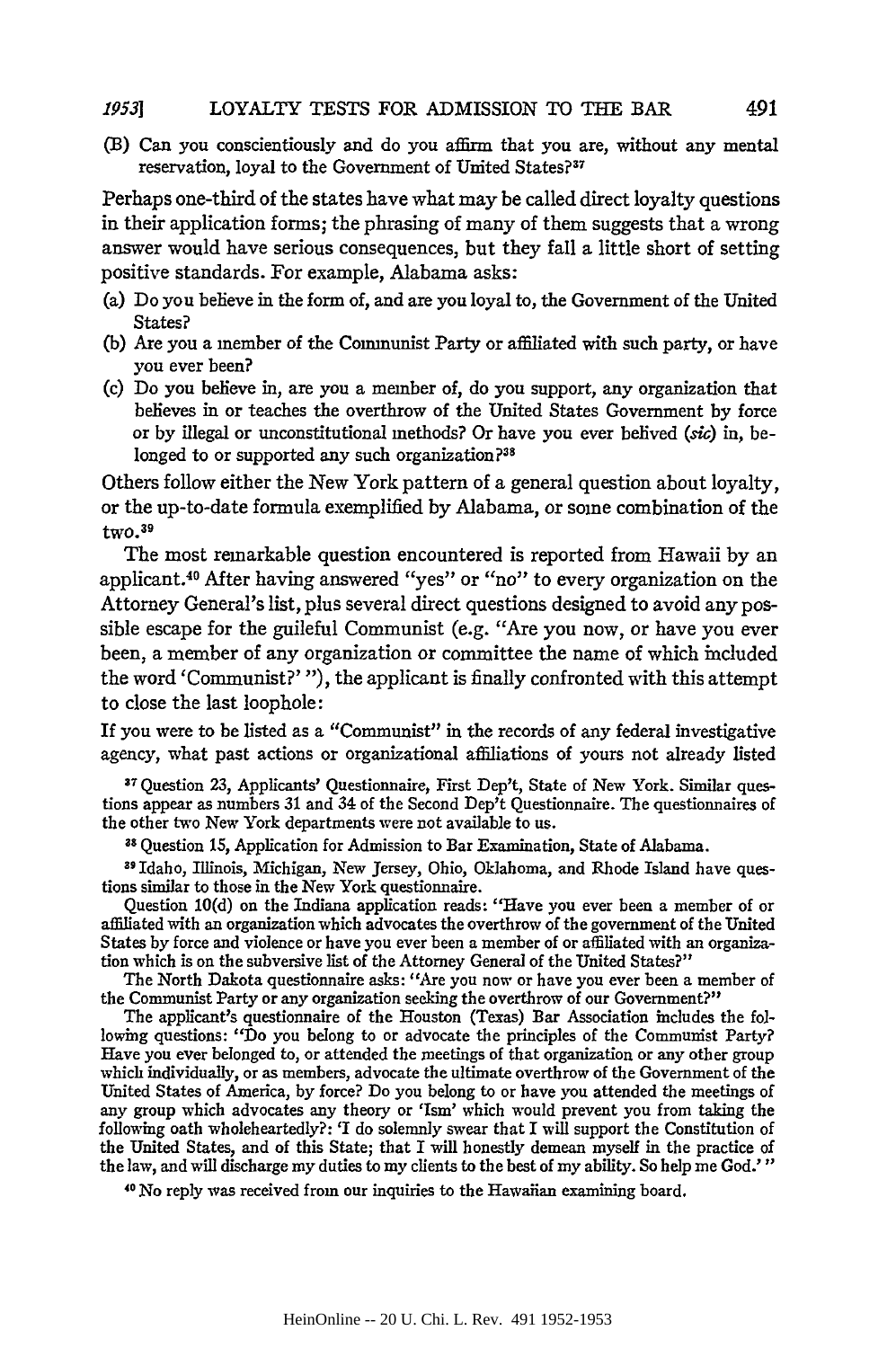#### LOYALTY **TESTS** FOR ADMISSION TO THE BAR *19531*

(B) Can you conscientiously and do you affirm that you are, without any mental reservation, loyal to the Government of United States?<sup>37</sup>

Perhaps one-third of the states have what may be called direct loyalty questions in their application forms; the phrasing of many of them suggests that a wrong answer would have serious consequences, but they fall a little short of setting positive standards. For example, Alabama asks:

- (a) Do you believe in the form of, and are you loyal to, the Government of the United States?
- **(b)** Are you a member of the Communist Party or affiliated with such party, or have you ever been?
- **(c)** Do you believe in, are you a member of, do you support, any organization that believes in or teaches the overthrow of the United States Government **by** force or **by** illegal or unconstitutional methods? Or have you ever belived **(sic)** in, belonged to or supported any such organization?<sup>38</sup>

Others follow either the New York pattern of a general question about loyalty, or the up-to-date formula exemplified **by** Alabama, or some combination of the two. <sup>39</sup>

The most remarkable question encountered is reported from Hawaii **by** an applicant. 40 After having answered "yes" or "no" to every organization on the Attorney General's list, plus several direct questions designed to avoid any possible escape for the guileful Communist (e.g. "Are you now, or have you ever been, a member of any organization or committee the name of which included the word 'Communist?' *"),* the applicant is finally confronted with this attempt to close the last loophole:

If you were to be listed as a "Communist" in the records of any federal investigative agency, what past actions or organizational affiliations of yours not already listed

**37** Question **23,** Applicants' Questionnaire, First Dep't, State of New York. Similar questions appear as numbers **31** and 34 of the Second Dep't Questionnaire. The questionnaires of the other two New York departments were not available to us.

**<sup>38</sup>**Question **15,** Application for Admission to Bar Examination, State of Alabama.

**3 <sup>9</sup>**Idaho, Illinois, Michigan, New Jersey, Ohio, Oklahoma, and Rhode Island have questions similar to those in the New York questionnaire.

Question 10(d) on the Indiana application reads: "Have you ever been a member of or affiliated with an organization which advocates the overthrow of the government of the United States by force and violence or have you ever been a member of or affiliated with an organization which is on the subversive list of the Attorney General of the United States?"

The North Dakota questionnaire asks: "Are you now or have you ever been a member of the Communist Party or any organization seeking the overthrow of our Government?"

The applicant's questionnaire of the Houston (Texas) Bar Association includes the following questions: "Do you belong to or advocate the principles of the Communist Party? Have you ever belonged to, or attended the meetings of that organization or any other group which individually, or as members, advocate the ultimate overthrow of the Government of the United States of America, by force? Do you belong to or have you attended the meetings of any group which advocates any theory or 'Ism' which would prevent you from taking the following oath wholeheartedly?: 'I do solemnly swear that I will support the Constitution of the United States, and of this State; that I will honestly demean myself in the practice of the law, and will discharge my duties to my clients to the best of my ability. So help me God.'"

0 No reply was received from our inquiries to the Hawaiian examining board.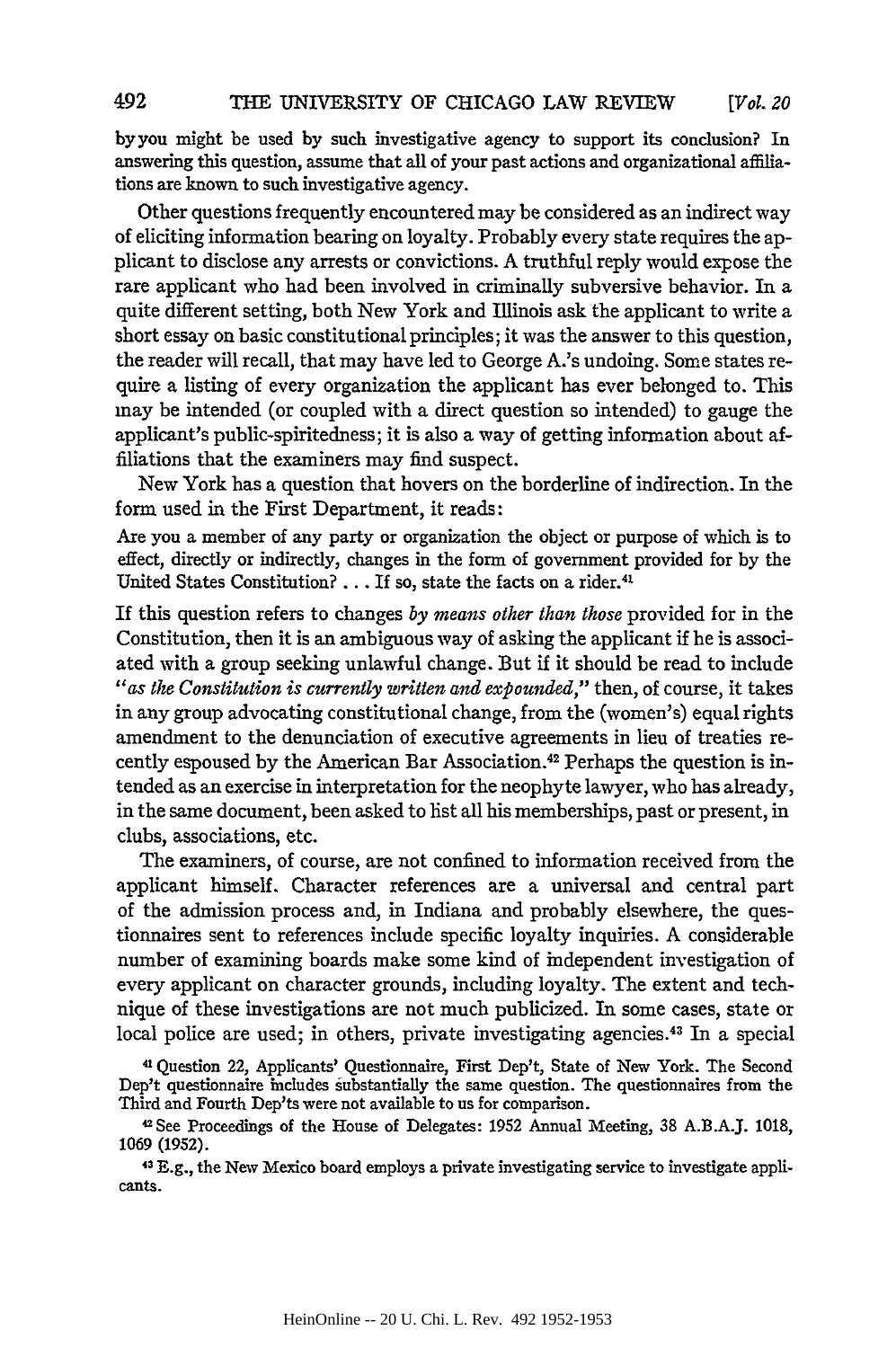byyou might be used by such investigative agency to support its conclusion? In answering this question, assume that all of your past actions and organizational affiliations are known to such investigative agency.

Other questions frequently encountered may be considered as an indirect way of eliciting information bearing on loyalty. Probably every state requires the applicant to disclose any arrests or convictions. A truthful reply would expose the rare applicant who had been involved in criminally subversive behavior. In a quite different setting, both New York and Illinois ask the applicant to write a short essay on basic constitutional principles; it was the answer to this question, the reader will recall, that may have led to George A.'s undoing. Some states require a listing of every organization the applicant has ever belonged to. This may be intended (or coupled with a direct question so intended) to gauge the applicant's public-spiritedness; it is also a way of getting information about affiliations that the examiners may find suspect.

New York has a question that hovers on the borderline of indirection. In the form used in the First Department, it reads:

Are you a member of any party or organization the object or purpose of which is to effect, directly or indirectly, changes in the form of government provided for by the United States Constitution? . . . If so, state the facts on a rider.<sup>41</sup>

If this question refers to changes *by means other than those* provided for in the Constitution, then it is an ambiguous way of asking the applicant if he is associated with a group seeking unlawful change. But if it should be read to include *"as the Constitution is currently written and expounded,"* then, of course, it takes in any group advocating constitutional change, from the (women's) equal rights amendment to the denunciation of executive agreements in lieu of treaties recently espoused by the American Bar Association. 42 Perhaps the question is intended as an exercise in interpretation for the neophyte lawyer, who has already, in the same document, been asked to list all his memberships, past or present, in clubs, associations, etc.

The examiners, of course, are not confined to information received from the applicant himself. Character references are a universal and central part of the admission process and, in Indiana and probably elsewhere, the questionnaires sent to references include specific loyalty inquiries. A considerable number of examining boards make some kind of independent investigation of every applicant on character grounds, including loyalty. The extent and technique of these investigations are not much publicized. In some cases, state or local police are used; in others, private investigating agencies.<sup>43</sup> In a special

<sup>41</sup> Question 22, Applicants' Questionnaire, First Dep't, State of New York. The Second Dep't questionnaire includes substantially the same question. The questionnaires from the Third and Fourth Dep'ts were not available to us for comparison.

4See Proceedings of the House of Delegates: 1952 Annual Meeting, 38 A.B.A.J. 1018, 1069 (1952).

43 E.g., the New Mexico board employs a private investigating service to investigate applicants.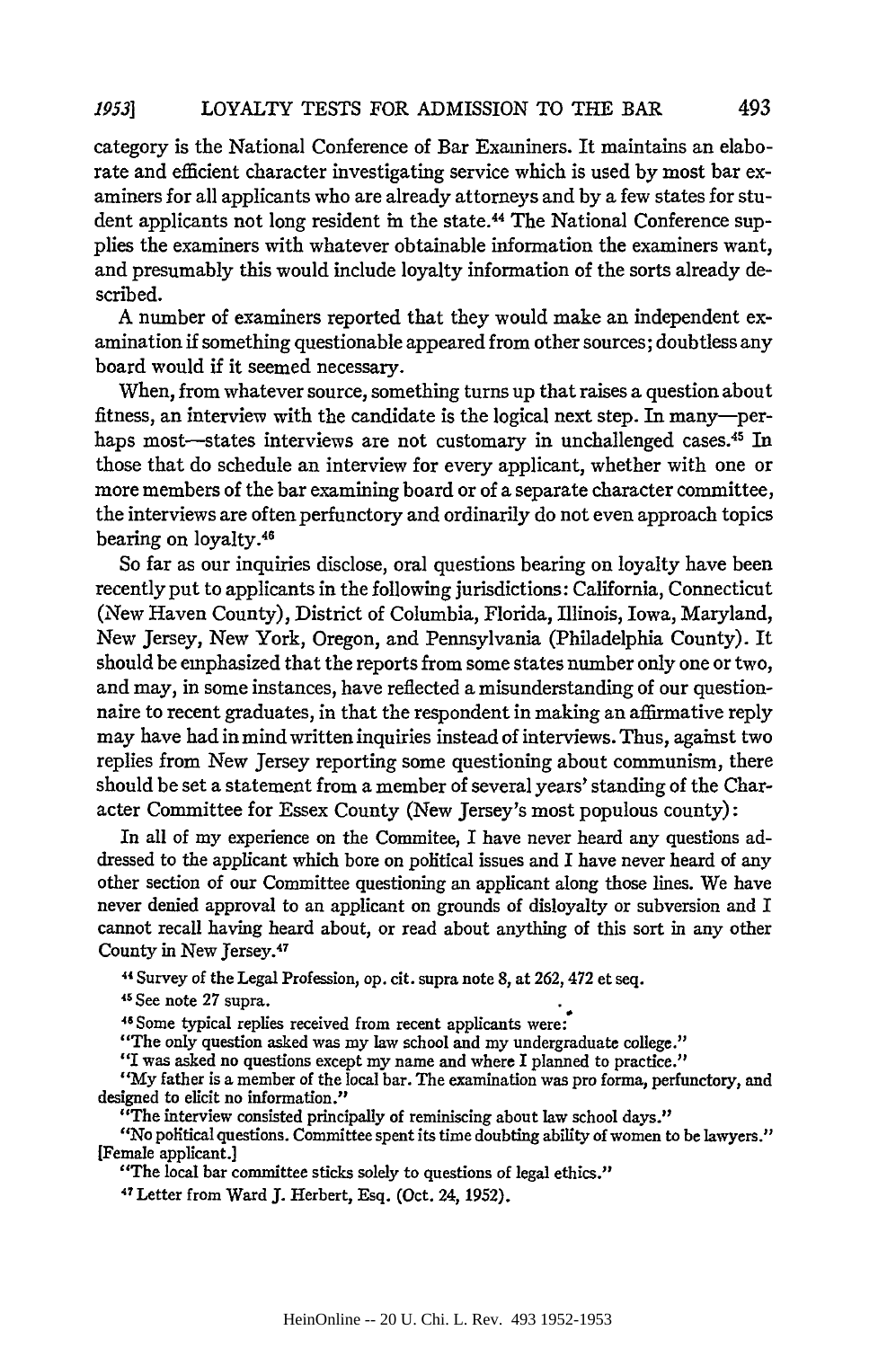#### LOYALTY **TESTS** FOR ADMISSION TO THE **BAR** *19531*

category is the National Conference of Bar Examiners. It maintains an elaborate and efficient character investigating service which is used by most bar examiners for all applicants who are already attorneys and by a few states for student applicants not long resident in the state.44 The National Conference supplies the examiners with whatever obtainable information the examiners want, and presumably this would include loyalty information of the sorts already described.

A number of examiners reported that they would make an independent examination **if** something questionable appeared from other sources; doubtless any board would if it seemed necessary.

When, from whatever source, something turns up that raises a question about fitness, an interview with the candidate is the logical next step. In many-perhaps most—states interviews are not customary in unchallenged cases.<sup>45</sup> In those that do schedule an interview for every applicant, whether with one or more members of the bar examining board or of a separate character committee, the interviews are often perfunctory and ordinarily do not even approach topics bearing on loyalty. <sup>4</sup>

So far as our inquiries disclose, oral questions bearing on loyalty have been recently put to applicants in the following jurisdictions: California, Connecticut (New Haven County), District of Columbia, Florida, Illinois, Iowa, Maryland, New Jersey, New York, Oregon, and Pennsylvania (Philadelphia County). It should be emphasized that the reports from some states number only one or two, and may, in some instances, have reflected a misunderstanding of our questionnaire to recent graduates, in that the respondent in making an affirmative reply may have had in mind written inquiries instead of interviews. Thus, against two replies from New Jersey reporting some questioning about communism, there should be set a statement from a member of several years' standing of the Character Committee for Essex County (New Jersey's most populous county):

In all of my experience on the Commitee, I have never heard any questions addressed to the applicant which bore on political issues and I have never heard of any other section of our Committee questioning an applicant along those lines. We have never denied approval to an applicant on grounds of disloyalty or subversion and I cannot recall having heard about, or read about anything of this sort in any other County in New Jersey. <sup>47</sup>

44 Survey of the Legal Profession, op. cit. supra note 8, at 262, 472 et seq.

**15** See note **27** supra.

46Some typical replies received from recent applicants were:

"The only question asked was my law school and my undergraduate college."

*"I* was asked no questions except my name and where I planned to practice."

"My father is a member of the local bar. The examination was pro forma, perfunctory, and designed to elicit no information."

"The interview consisted principally of reminiscing about law school days."

*"No* political questions. Committee spent its time doubting ability of women to be lawyers." [Female applicant.]

"The local bar committee sticks solely to questions of legal ethics."

47 Letter from Ward J. Herbert, Esq. (Oct. 24, 1952).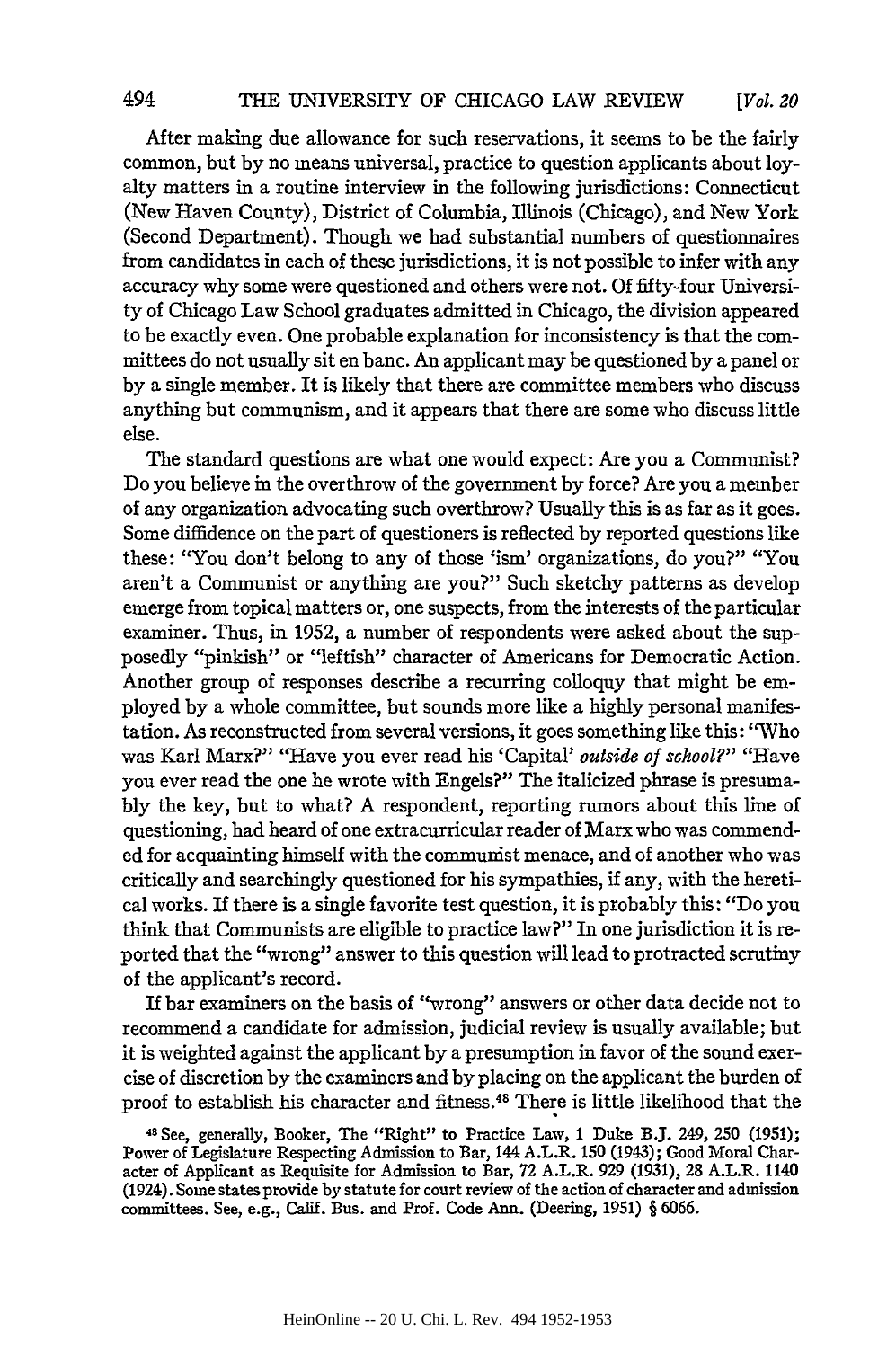After making due allowance for such reservations, it seems to be the fairly common, but by no means universal, practice to question applicants about loyalty matters in a routine interview in the following jurisdictions: Connecticut (New Haven County), District of Columbia, Illinois (Chicago), and New York (Second Department). Though we had substantial numbers of questionnaires from candidates in each of these jurisdictions, it is not possible to infer with any accuracy why some were questioned and others were not. Of fifty-four University of Chicago Law School graduates admitted in Chicago, the division appeared to be exactly even. One probable explanation for inconsistency is that the committees do not usually sit en banc. An applicant may be questioned by a panel or by a single member. It is likely that there are committee members who discuss anything but communism, and it appears that there are some who discuss little else.

The standard questions are what one would expect: Are you a Communist? Do you believe in the overthrow of the government by force? Are you a member of any organization advocating such overthrow? Usually this is as far as it goes. Some diffidence on the part of questioners is reflected by reported questions like these: "You don't belong to any of those 'ism' organizations, do you?" "You aren't a Communist or anything are you?" Such sketchy patterns as develop emerge from topical matters or, one suspects, from the interests of the particular examiner. Thus, in 1952, a number of respondents were asked about the supposedly "pinkish" or "leftish" character of Americans for Democratic Action. Another group of responses describe a recurring colloquy that might be employed by a whole committee, but sounds more like a highly personal manifestation. As reconstructed from several versions, it goes something like this: "Who was Karl Marx?" "Have you ever read his 'Capital' *outside of school?"* "Have you ever read the one he wrote with Engels?" The italicized phrase is presumably the key, but to what? A respondent, reporting rumors about this line of questioning, had heard of one extracurricular reader of Marx who was commended for acquainting himself with the communist menace, and of another who was critically and searchingly questioned for his sympathies, if any, with the heretical works. If there is a single favorite test question, it is probably this: "Do you think that Communists are eligible to practice law?" In one jurisdiction it is reported that the "wrong" answer to this question will lead to protracted scrutiny of the applicant's record.

If bar examiners on the basis of "wrong" answers or other data decide not to recommend a candidate for admission, judicial review is usually available; but it is weighted against the applicant by a presumption in favor of the sound exercise of discretion by the examiners and by placing on the applicant the burden of proof to establish his character and fitness. 48 There is little likelihood that the

<sup>48</sup> See, generally, Booker, The "Right" to Practice Law, **I** Duke B.J. 249, 250 (1951); Power of Legislature Respecting Admission to Bar, 144 A.L.R. 150 (1943); Good Moral Character of Applicant as Requisite for Admission to Bar, 72 A.L.R. 929 (1931), 28 A.L.R. 1140 (1924). Some states provide by statute for court review of the action of character and admission committees. See, e.g., Calif. Bus. and Prof. Code Ann. (Deering, 1951) § 6066.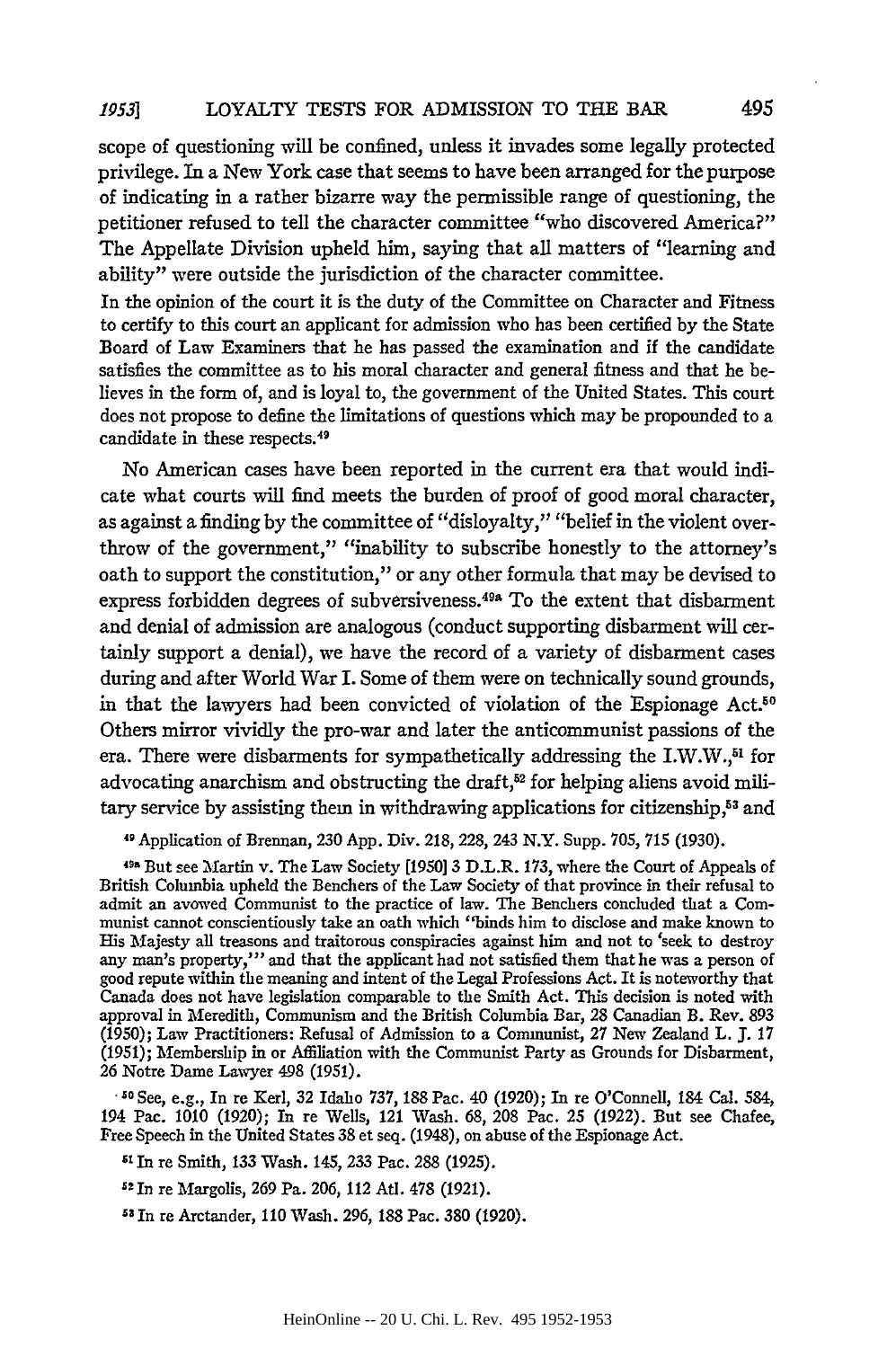#### LOYALTY **TESTS** FOR ADMISSION TO **THE BAR** *19531*

scope of questioning will be confined, unless it invades some legally protected privilege. In a New York case that seems to have been arranged for the purpose of indicating in a rather bizarre way the permissible range of questioning, the petitioner refused to tell the character committee "who discovered America?" The Appellate Division upheld him, saying that all matters of "learning and ability" were outside the jurisdiction of the character committee.

In the opinion of the court it is the duty of the Committee on Character and Fitness to certify to this court an applicant for admission who has been certified **by** the State Board of Law Examiners that he has passed the examination and if the candidate satisfies the committee as to his moral character and general fitness and that he believes in the form of, and is loyal to, the government of the United States. This court does not propose to define the limitations of questions which may be propounded to a candidate in these respects.49

No American cases have been reported in the current era that would indicate what courts will find meets the burden of proof of good moral character, as against a finding **by** the committee of "disloyalty," "belief in the violent overthrow of the government," "inability to subscribe honestly to the attorney's oath to support the constitution," or any other formula that may be devised to express forbidden degrees of subversiveness.<sup>49a</sup> To the extent that disbarment and denial of admission are analogous (conduct supporting disbarment will certainly support a denial), we have the record of a variety of disbarment cases during and after World War I. Some of them were on technically sound grounds, in that the lawyers had been convicted of violation of the Espionage Act.<sup>50</sup> Others mirror vividly the pro-war and later the anticommunist passions of the era. There were disbarments for sympathetically addressing the I.W.W.,<sup>51</sup> for advocating anarchism and obstructing the draft, $52$  for helping aliens avoid military service by assisting them in withdrawing applications for citizenship,<sup>53</sup> and

**11** Application of Brennan, **230 App.** Div. **218, 228,** 243 N.Y. Supp. **705, 715 (1930).**

<sup>498</sup> But see Martin v. The Law Society **[1950] 3 D.L.R. 173, where the Court of Appeals of** British Columbia upheld the Benchers of the Law Society of that province in their refusal to admit an avowed Communist to the practice of law. The Benchers concluded that a Communist cannot conscientiously take an oath which "binds him to disclose and make known to His Majesty all treasons and traitorous conspiracies against him and not to 'seek to destroy any man's property,"' and that the applicant had not satisfied them that he was a person of good repute within the meaning and intent of the Legal Professions Act. It is noteworthy that Canada does not have legislation comparable to the Smith Act. This decision is noted with approval in Meredith, Communism and the British Columbia Bar, **28** Canadian B. Rev. **893 (1950);** Law Practitioners: Refusal of Admission to a Communist, **27** New Zealand L. **J. 17 (1951);** Membership in or Affiliation with the Communist Party as Grounds for Disbarment, **26** Notre Dame Lawyer 498 **(1951).**

**-50** See, e.g., In re **Kerl, 32** Idaho **737, 188** Pac. 40 **(1920);** In re O'Connell, 184 Cal. 584, 194 Pac. **1010 (1920);** In re Wells, 121 Wash. **68, 208** Pac. **25 (1922).** But see Chafee, Free Speech in the United States **38** et seq. (1948), on abuse of the Espionage Act.

'I In re Smith, **133** Wash. 145, **233** Pac. **288 (1925).**

**<sup>9</sup> In** re Margolis, **269** Pa. **206,** 112 Atl. **478 (1921).**

"In re Arctander, **110** Wash. **296, 188** Pac. **380 (1920).**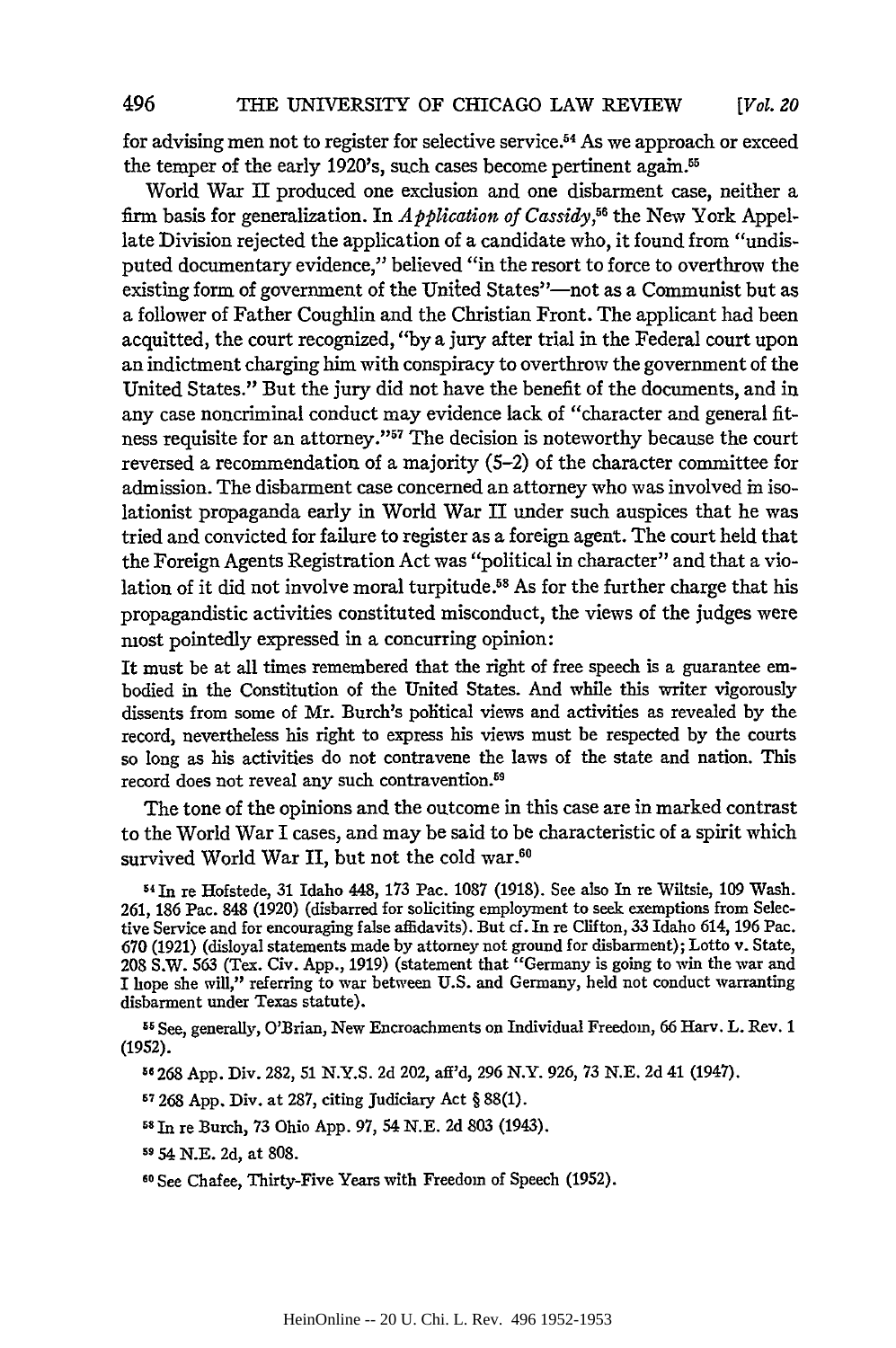for advising men not to register for selective service.54 As we approach or exceed the temper of the early 1920's, such cases become pertinent again.<sup>55</sup>

World War II produced one exclusion and one disbarment case, neither a firm basis for generalization. In *Application of Cassidy,"5* the New York Appellate Division rejected the application of a candidate who, it found from "undisputed documentary evidence," believed "in the resort to force to overthrow the existing form of government of the United States"-not as a Communist but as a follower of Father Coughlin and the Christian Front. The applicant had been acquitted, the court recognized, "by a jury after trial in the Federal court upon an indictment charging him with conspiracy to overthrow the government of the United States." But the jury did not have the benefit of the documents, and in any case noncriminal conduct may evidence lack of "character and general fitness requisite for an attorney."57 The decision is noteworthy because the court reversed a recommendation of a majority (5-2) of the character committee for admission. The disbarment case concerned an attorney who was involved in isolationist propaganda early in World War II under such auspices that he was tried and convicted for failure to register as a foreign agent. The court held that the Foreign Agents Registration Act was "political in character" and that a violation of it did not involve moral turpitude.<sup>58</sup> As for the further charge that his propagandistic activities constituted misconduct, the views of the judges were most pointedly expressed in a concurring opinion:

It must be at all times remembered that the right of free speech is a guarantee embodied in the Constitution of the United States. And while this writer vigorously dissents from some of Mr. Burch's political views and activities as revealed by the record, nevertheless his right to express his views must be respected by the courts so long as his activities do not contravene the laws of the state and nation. This record does not reveal any such contravention.<sup>59</sup>

The tone of the opinions and the outcome in this case are in marked contrast to the World War I cases, and may be said to be characteristic of a spirit which survived World War II, but not the cold war.<sup>60</sup>

54 1n re Hofstede, 31 Idaho 448, 173 Pac. 1087 (1918). See also In re Wiltsie, 109 Wash. 261, 186 Pac. 848 (1920) (disbarred for soliciting employment to seek exemptions from Selective Service and for encouraging false affidavits). But cf. In re Clifton, 33 Idaho 614, 196 Pac. 670 (1921) (disloyal statements made by attorney not ground for disbarment); Lotto v. State, 208 S.W. 563 (Tex. Civ. App., 1919) (statement that "Germany is going to win the war and I hope she will," referring to war between U.S. and Germany, held not conduct warranting disbarment under Texas statute).

55 See, generally, O'Brian, New Encroachments on Individual Freedom, 66 Harv. L. Rev. 1 (1952).

**56** 268 App. Div. 282, 51 N.Y.S. 2d 202, aff'd, 296 N.Y. 926, 73 N.E. 2d 41 (1947).

57 268 App. Div. at 287, citing Judiciary Act § 88(1).

- **<sup>58</sup>**In re Burch, **73** Ohio App. 97, 54 N.E. 2d 803 (1943).
- **59** 54 N.E. 2d, at 808.
- **60** See Chafee, Thirty-Five Years with Freedom of Speech (1952).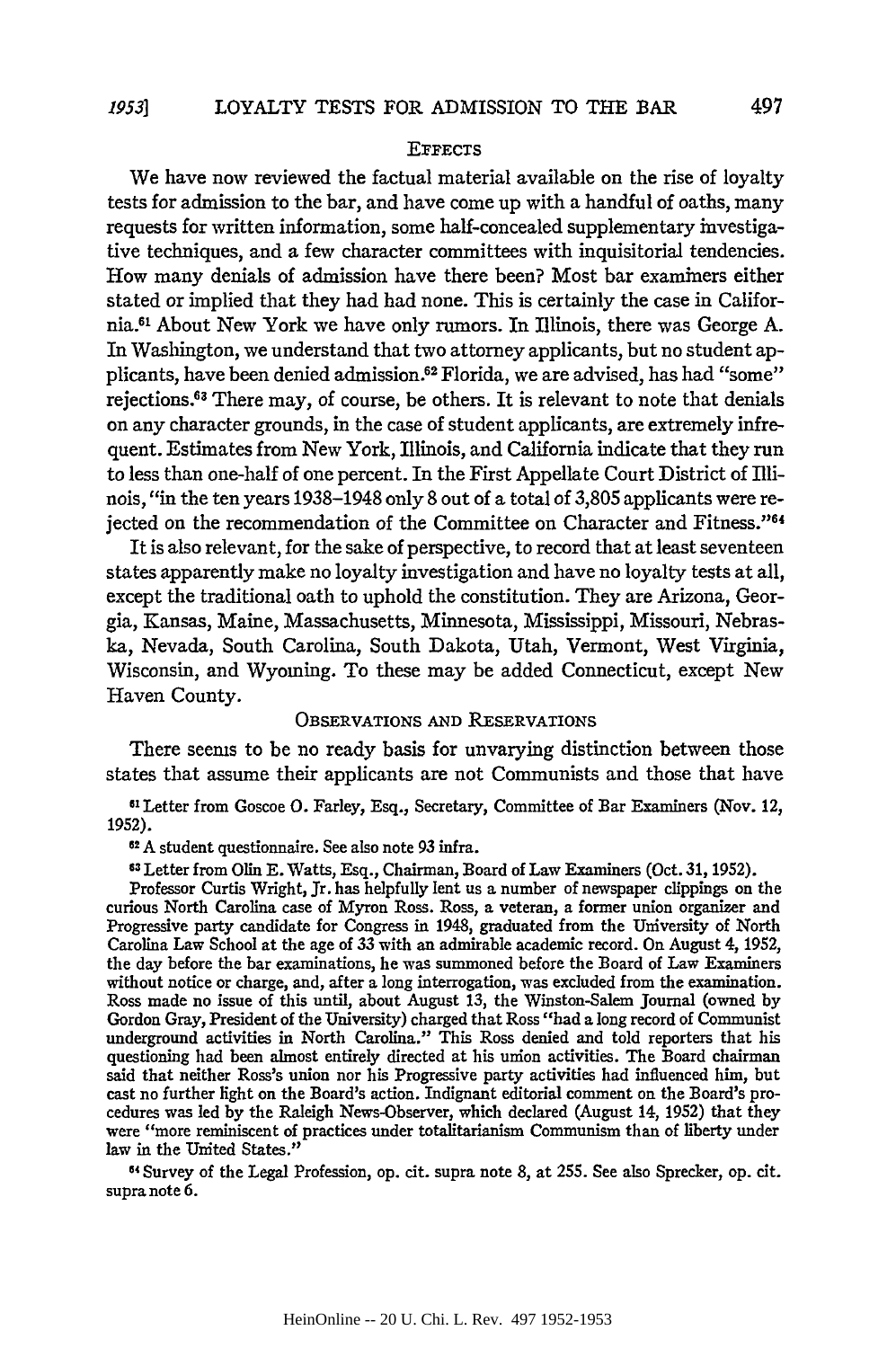## **EFFECTS**

We have now reviewed the factual material available on the rise of loyalty tests for admission to the bar, and have come up with a handful of oaths, many requests for written information, some half-concealed supplementary investigative techniques, and a few character committees with inquisitorial tendencies. How many denials of admission have there been? Most bar examiners either stated or implied that they had had none. This is certainly the case in California.6 About New York we have only rumors. In Illinois, there was George **A.** In Washington, we understand that two attorney applicants, but no student applicants, have been denied admission.62 Florida, we are advised, has had "some" rejections.63 There may, of course, be others. It is relevant to note that denials on any character grounds, in the case of student applicants, are extremely infrequent. Estimates from New York, Illinois, and California indicate that they run to less than one-half of one percent. In the First Appellate Court District of Illinois, "in the ten years **1938-1948** only **8** out of a total of **3,805** applicants were rejected on the recommendation of the Committee on Character and Fitness."64

It is also relevant, for the sake of perspective, to record that at least seventeen states apparently make no loyalty investigation and have no loyalty tests at all, except the traditional oath to uphold the constitution. They are Arizona, Georgia, Kansas, Maine, Massachusetts, Minnesota, Mississippi, Missouri, Nebraska, Nevada, South Carolina, South Dakota, Utah, Vermont, West Virginia, Wisconsin, and Wyoming. To these may be added Connecticut, except New Haven County.

## OBSERVATIONS **AND RESERVATIONS**

There seems to be no ready basis for unvarying distinction between those states that assume their applicants are not Communists and those that have

**6 1** Letter from Goscoe **0.** Farley, Esq., Secretary, Committee of Bar Examiners (Nov. 12, **1952).**

**62 A** student questionnaire. See also note **93** infra.

**<sup>63</sup>**Letter from Olin **E.** Watts, Esq., Chairman, Board of Law Examiners (Oct. **31, 1952).**

Professor Curtis Wright, Jr. has helpfully lent us a number of newspaper clippings on the curious North Carolina case of Myron Ross. Ross, a veteran, a former union organizer and Progressive party candidate for Congress in 1948, graduated from the University of North Carolina Law School at the age of **33** with an admirable academic record. On August 4, **1952,** the day before the bar examinations, he was summoned before the Board of Law Examiners without notice or charge, and, after a long interrogation, was excluded from the examination. Ross made no issue of this until, about August **13,** the Winston-Salem Journal (owned **by** Gordon Gray, President of the University) charged that Ross "had a long record of Communist underground activities in North Carolina." This Ross denied and told reporters that his questioning had been almost entirely directed at his union activities. The Board chairman said that neither Ross's union nor his Progressive party activities had influenced him, but cast no further light on the Board's action. Indignant editorial comment on the Board's procedures was led **by** the Raleigh News-Observer, which declared (August 14, **1952)** that they were "more reminiscent of practices under totalitarianism Communism than of liberty under law in the United States."

**64** Survey of the Legal Profession, op. cit. supra note **8,** at **255.** See also Sprecker, op. cit. supra note **6.**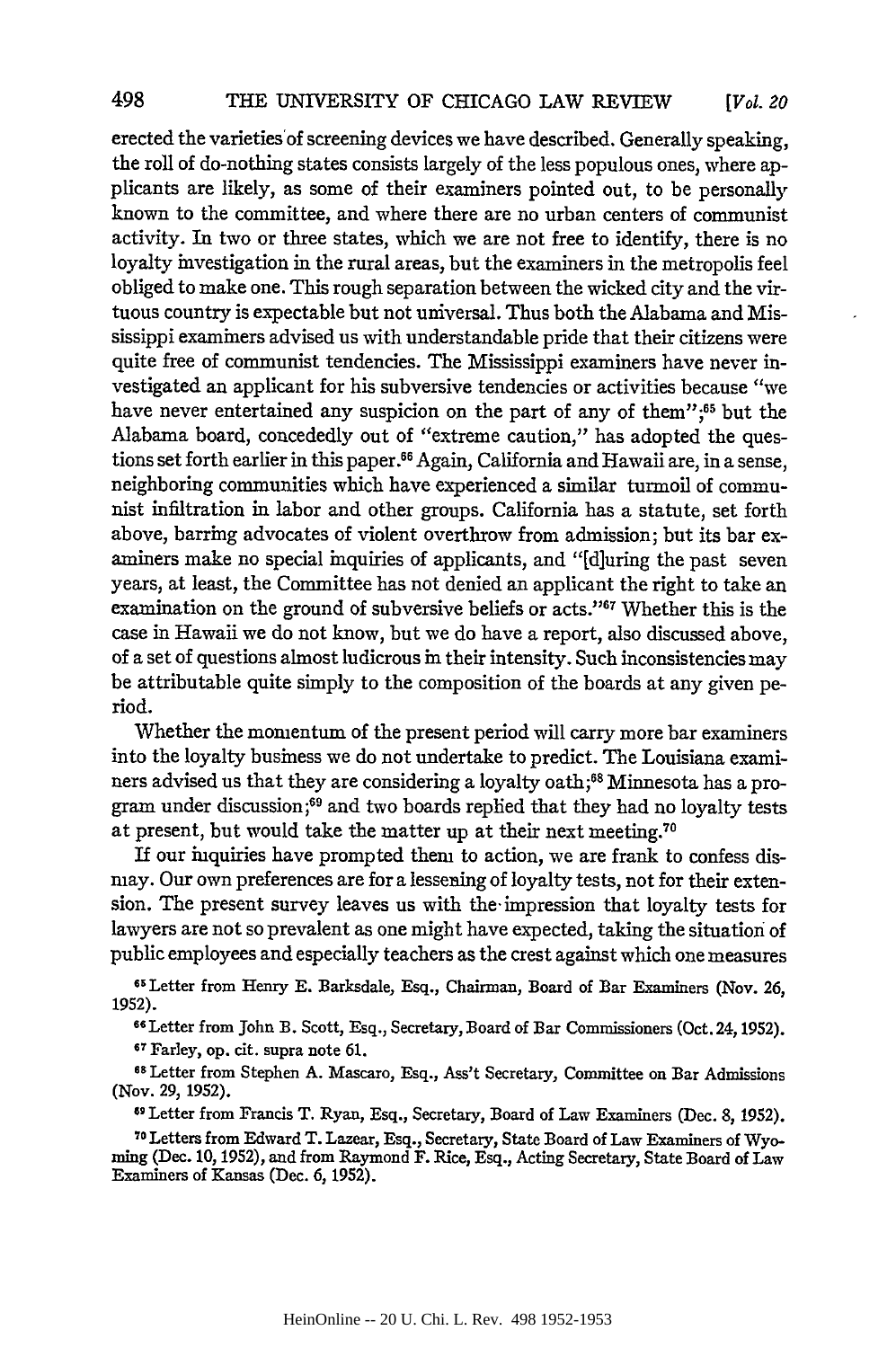erected the varieties'of screening devices we have described. Generally speaking, the roll of do-nothing states consists largely of the less populous ones, where applicants are likely, as some of their examiners pointed out, to be personally known to the committee, and where there are no urban centers of communist activity. In two or three states, which we are not free to identify, there is no loyalty investigation in the rural areas, but the examiners in the metropolis feel obliged to make one. This rough separation between the wicked city and the virtuous country is expectable but not universal. Thus both the Alabama and Mississippi examiners advised us with understandable pride that their citizens were quite free of communist tendencies. The Mississippi examiners have never investigated an applicant for his subversive tendencies or activities because "we have never entertained any suspicion on the part of any of them";<sup>65</sup> but the Alabama board, concededly out of "extreme caution," has adopted the questions set forth earlier in this paper.<sup>66</sup> Again, California and Hawaii are, in a sense, neighboring communities which have experienced a similar turmoil of communist infiltration in labor and other groups. California has a statute, set forth above, barring advocates of violent overthrow from admission; but its bar examiners make no special inquiries of applicants, and "[d]uring the past seven years, at least, the Committee has not denied an applicant the right to take an examination on the ground of subversive beliefs or acts."67 Whether this is the case in Hawaii we do not know, but we do have a report, also discussed above, of a set of questions almost ludicrous in their intensity. Such inconsistencies may be attributable quite simply to the composition of the boards at any given period.

Whether the momentum of the present period will carry more bar examiners into the loyalty business we do not undertake to predict. The Louisiana examiners advised us that they are considering a loyalty oath;<sup>68</sup> Minnesota has a program under discussion;<sup>69</sup> and two boards replied that they had no loyalty tests at present, but would take the matter up at their next meeting.<sup>70</sup>

If our inquiries have prompted them to action, we are frank to confess dismay. Our own preferences are for a lessening of loyalty tests, not for their extension. The present survey leaves us with the. impression that loyalty tests for lawyers are not so prevalent as one might have expected, taking the situation of public employees and especially teachers as the crest against which one measures

65Letter from Henry **E.** Barksdale, Esq., Chairman, Board of Bar Examiners (Nov. 26, 1952).

<sup>66</sup> Letter from John B. Scott, Esq., Secretary, Board of Bar Commissioners (Oct. 24, 1952).<br><sup>67</sup> Farley, op. cit. supra note 61.

**<sup>68</sup>**Letter from Stephen A. Mascaro, Esq., Ass't Secretary, Committee on Bar Admissions (Nov. **29,** 1952).

**6 9** Letter from Francis T. Ryan, Esq., Secretary, Board of Law Examiners (Dec. 8, 1952).

**<sup>70</sup>**Letters from Edward T. Lazear, Esq., Secretary, State Board of Law Examiners of Wyo- ming (Dec. 10, 1952), and from Raymond F. Rice, Esq., Acting Secretary, State Board of Law Examiners of Kansas (Dec. **6,** 1952).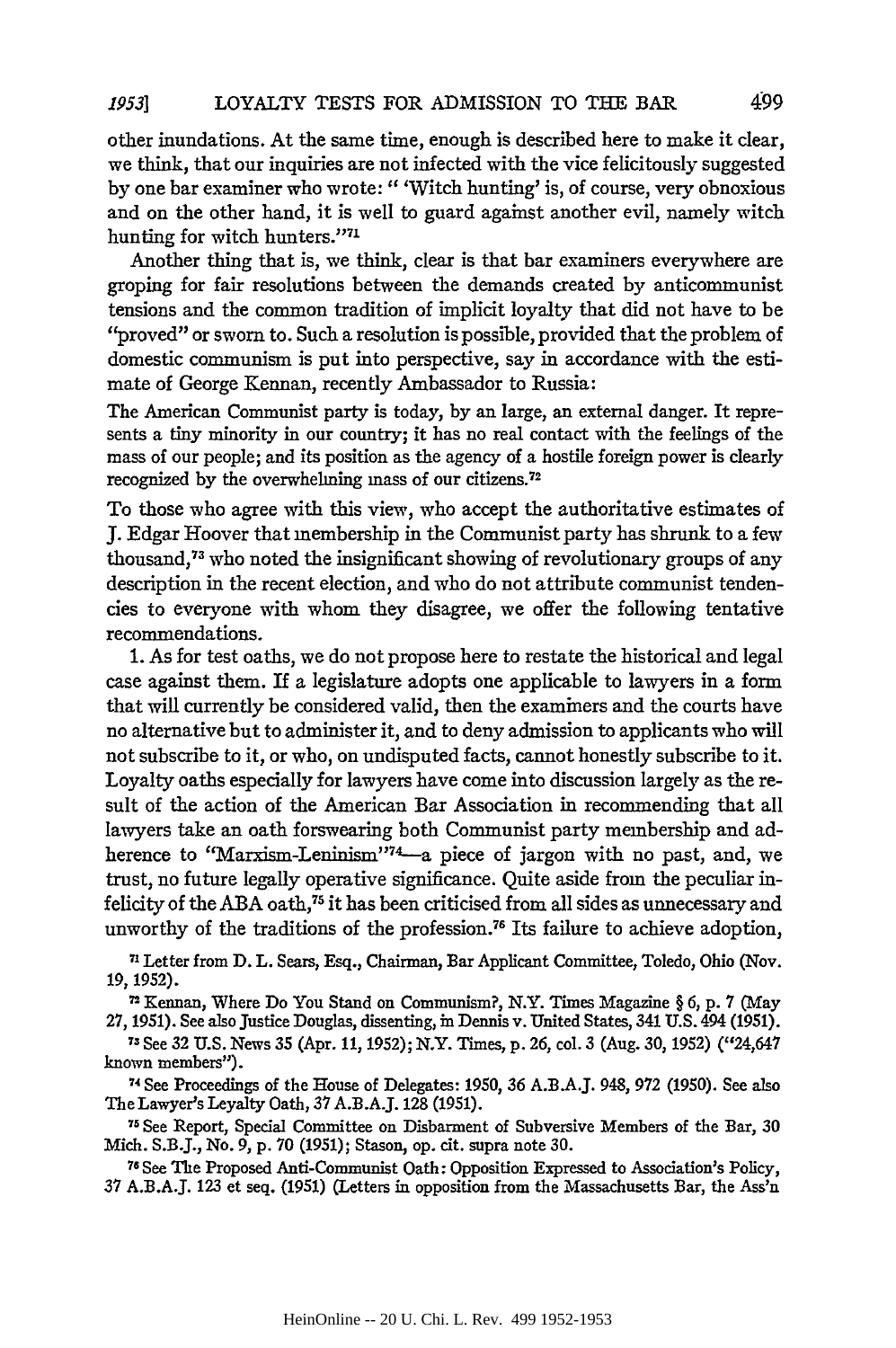other inundations. At the same time, enough is described here to make it clear, we think, that our inquiries are not infected with the vice felicitously suggested by one bar examiner who wrote:" 'Witch hunting' is, of course, very obnoxious and on the other hand, it is well to guard against another evil, namely witch hunting for witch hunters."71

Another thing that is, we think, clear is that bar examiners everywhere are groping for fair resolutions between the demands created by anticommunist tensions and the common tradition of implicit loyalty that did not have to be "proved" or sworn to. Such a resolution is possible, provided that the problem of domestic communism is put into perspective, say in accordance with the estimate of George Kennan, recently Ambassador to Russia:

The American Communist party is today, by an large, an external danger. It represents a tiny minority in our country; it has no real contact with the feelings of the mass of our people; and its position as the agency of a hostile foreign power is clearly recognized by the overwhelming mass of our citizens.<sup>72</sup>

To those who agree with this view, who accept the authoritative estimates of J. Edgar Hoover that membership in the Communist party has shrunk to a few thousand,<sup>73</sup> who noted the insignificant showing of revolutionary groups of any description in the recent election, and who do not attribute communist tendencies to everyone with whom they disagree, we offer the following tentative recommendations.

1. As for test oaths, we do not propose here to restate the historical and legal case against them. If a legislature adopts one applicable to lawyers in a form that will currently be considered valid, then the examiners and the courts have no alternative but to administer it, and to deny admission to applicants who will not subscribe to it, or who, on undisputed facts, cannot honestly subscribe to it. Loyalty oaths especially for lawyers have come into discussion largely as the result of the action of the American Bar Association in recommending that all lawyers take an oath forswearing both Communist party membership and adherence to "Marxism-Leninism"<sup>74</sup>-a piece of jargon with no past, and, we trust, no future legally operative significance. Quite aside from the peculiar infelicity of the ABA oath,<sup>75</sup> it has been criticised from all sides as unnecessary and unworthy of the traditions of the profession. 76 Its failure to achieve adoption,

71 Letter from D. L. Sears, Esq., Chairman, Bar Applicant Committee, Toledo, Ohio (Nov. **19, 1952).**

7 2Kennan, Where Do You Stand on Communism?, N.Y. Times Magazine § 6, **p.** 7 (May

27, 1951). See also Justice Douglas, dissenting, in Dennis v. United States, 341 U.S. 494 (1951). 73 See 32 U.S. News 35 (Apr. 11, 1952); N.Y. Times, p. 26, col. 3 (Aug. 30, 1952) ("24,647" known members").

**74See** Proceedings of the House of Delegates: 1950, 36 A.B.AJ. 948, 972 (1950). See also The Lawyer's Loyalty Oath, 37 A.B.A.J. 128 (1951).

71See Report, Special Committee on Disbarment of Subversive Members of the Bar, 30 Mich. S.B.J., No. 9, p. 70 (1951); Stason, op. cit. supra note 30.

**78** See The Proposed Anti-Communist Oath: Opposition Expressed to Association's Policy, 37 A.B.A.J. 123 et seq. (1951) (Letters in opposition from the Massachusetts Bar, the Ass'n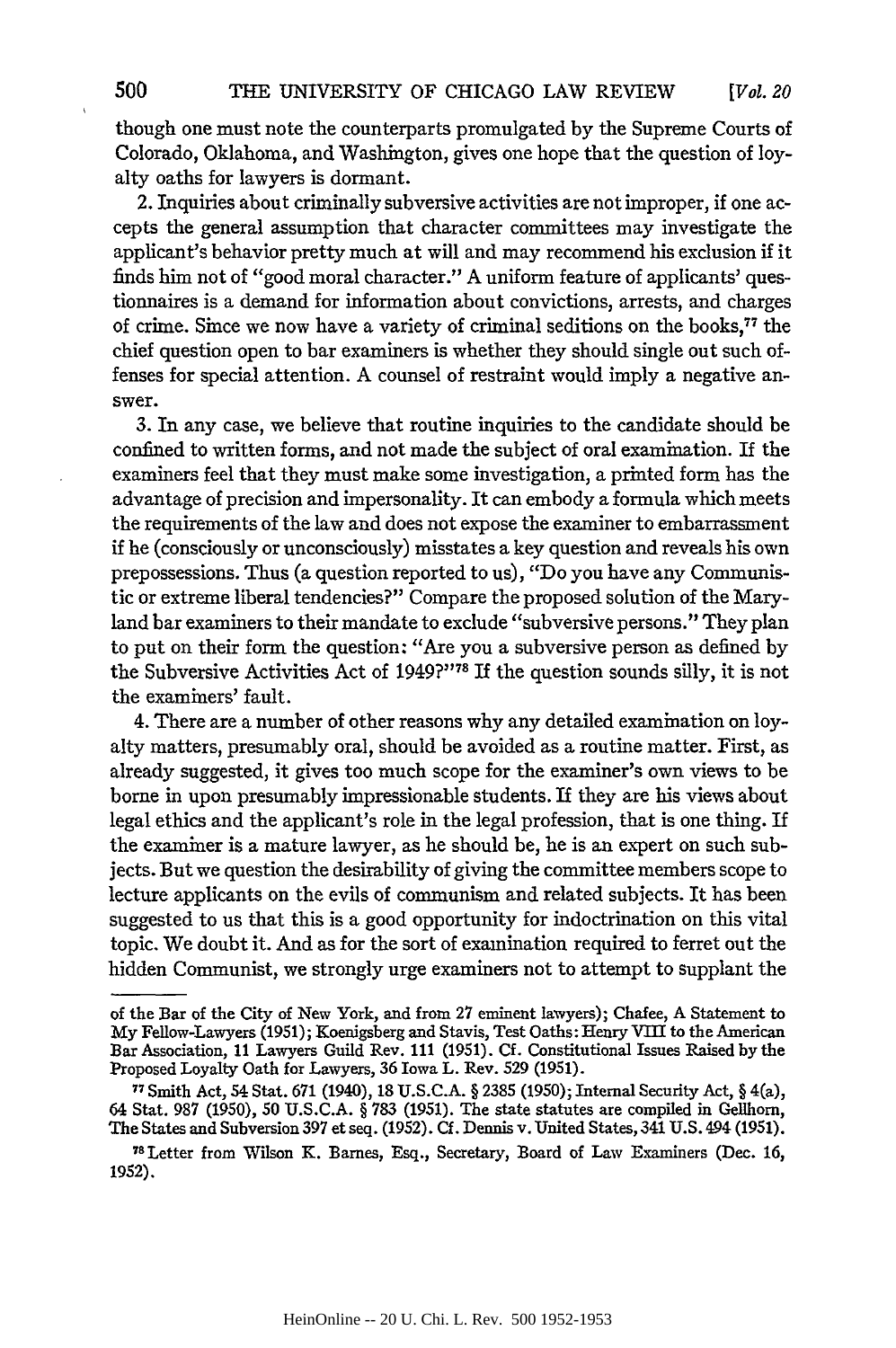though one must note the counterparts promulgated by the Supreme Courts of Colorado, Oklahoma, and Washington, gives one hope that the question of loyalty oaths for lawyers is dormant.

2. Inquiries about criminally subversive activities are not improper, if one accepts the general assumption that character committees may investigate the applicant's behavior pretty much at will and may recommend his exclusion if it finds him not of "good moral character." A uniform feature of applicants' questionnaires is a demand for information about convictions, arrests, and charges of crime. Since we now have a variety of criminal seditions on the books,<sup>77</sup> the chief question open to bar examiners is whether they should single out such offenses for special attention. A counsel of restraint would imply a negative answer.

3. In any case, we believe that routine inquiries to the candidate should be confined to written forms, and not made the subject of oral examination. If the examiners feel that they must make some investigation, a printed form has the advantage of precision and impersonality. It can embody a formula which meets the requirements of the law and does not expose the examiner to embarrassment if he (consciously or unconsciously) misstates a key question and reveals his own prepossessions. Thus (a question reported to us), "Do you have any Communistic or extreme liberal tendencies?" Compare the proposed solution of the Maryland bar examiners to their mandate to exclude "subversive persons." They plan to put on their form the question: "Are you a subversive person as defined by the Subversive Activities Act of **1949?"7<sup>T</sup>**If the question sounds silly, it is not the examiners' fault.

4. There are a number of other reasons why any detailed examination on loyalty matters, presumably oral, should be avoided as a routine matter. First, as already suggested, it gives too much scope for the examiner's own views to be borne in upon presumably impressionable students. If they are his views about legal ethics and the applicant's role in the legal profession, that is one thing. If the examiner is a mature lawyer, as he should be, he is an expert on such subjects. But we question the desirability of giving the committee members scope to lecture applicants on the evils of communism and related subjects. It has been suggested to us that this is a good opportunity for indoctrination on this vital topic. We doubt it. And as for the sort of examination required to ferret out the hidden Communist, we strongly urge examiners not to attempt to supplant the

of the Bar of the City of New York, and from **27** eminent lawyers); Chafee, A Statement to My Fellow-Lawyers (1951); Koenigsberg and Stavis, Test Oaths: Henry VIII to the American Bar Association, **11** Lawyers Guild Rev. 111 **(1951).** Cf. Constitutional Issues Raised by the Proposed Loyalty Oath for Lawyers, **36** Iowa L. Rev. 529 (1951).

**<sup>77</sup>**Smith Act, 54 Stat. **671** (1940), 18 U.S.C.A. § 2385 (1950); Internal Security Act, § 4(a), 64 Stat. 987 (1950), 50 U.S.C.A. § 783 (1951). The state statutes are compiled in Gellhorn, The States and Subversion 397 et seq. (1952). Cf. Dennis v. United States, 341 **U.S.** 494 (1951).

<sup>78</sup>Letter from Wilson K. Barnes, Esq., Secretary, Board of Law Examiners (Dec. 16, **1952).**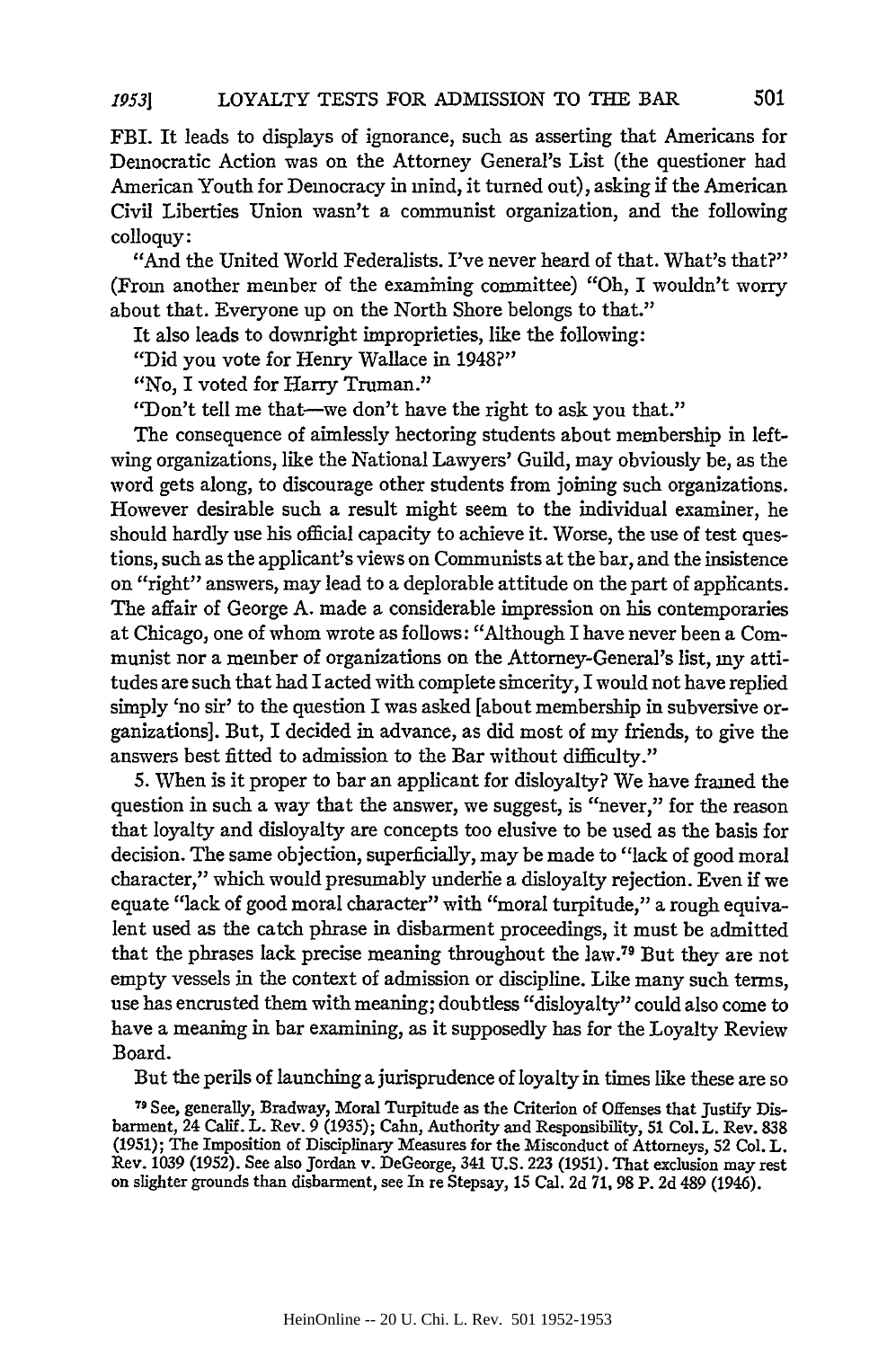FBI. It leads to displays of ignorance, such as asserting that Americans for Democratic Action was on the Attorney General's List (the questioner had American Youth for Democracy in mind, it turned out), asking if the American Civil Liberties Union wasn't a communist organization, and the following colloquy:

"And the United World Federalists. I've never heard of that. What's that?" (From another member of the examining committee) "Oh, I wouldn't worry about that. Everyone up on the North Shore belongs to that."

It also leads to downright improprieties, like the following:

"Did you vote for Henry Wallace in 1948?"

"No, I voted for Harry Truman."

"Don't tell me that-we don't have the right to ask you that."

The consequence of aimlessly hectoring students about membership in leftwing organizations, like the National Lawyers' Guild, may obviously be, as the word gets along, to discourage other students from joining such organizations. However desirable such a result might seem to the individual examiner, he should hardly use his official capacity to achieve it. Worse, the use of test questions, such as the applicant's views on Communists at the bar, and the insistence on "right" answers, may lead to a deplorable attitude on the part of applicants. The affair of George A. made a considerable impression on his contemporaries at Chicago, one of whom wrote as follows: "Although I have never been a Communist nor a member of organizations on the Attorney-General's list, my attitudes are such that had I acted with complete sincerity, I would not have replied simply 'no sir' to the question I was asked [about membership in subversive organizations]. But, I decided in advance, as did most of my friends, to give the answers best fitted to admission to the Bar without difficulty."

5. When is it proper to bar an applicant for disloyalty? We have framed the question in such a way that the answer, we suggest, is "never," for the reason that loyalty and disloyalty are concepts too elusive to be used as the basis for decision. The same objection, superficially, may be made to "lack of good moral character," which would presumably underlie a disloyalty rejection. Even if we equate "lack of good moral character" with "moral turpitude," a rough equivalent used as the catch phrase in disbarment proceedings, it must be admitted that the phrases lack precise meaning throughout the law.79 But they are not empty vessels in the context of admission or discipline. Like many such terms, use has encrusted them with meaning; doubtless "disloyalty" could also come to have a meaning in bar examining, as it supposedly has for the Loyalty Review Board.

But the perils of launching a jurisprudence of loyalty in times like these are so

**7-** See, generally, Bradway, Moral Turpitude as the Criterion of Offenses that Justify Disbarment, 24 Calif. L. Rev. 9 (1935); Cahn, Authority and Responsibility, 51 Col. L. Rev. 838 (1951); The Imposition of Disciplinary Measures for the Misconduct of Attorneys, 52 Col. L. Rev. 1039 (1952). See also Jordan v. DeGeorge, 341 U.S. 223 (1951). That exclusion may rest on slighter grounds than disbarment, see In re Stepsay, **15** Cal. 2d **71,** 98 P. 2d 489 (1946).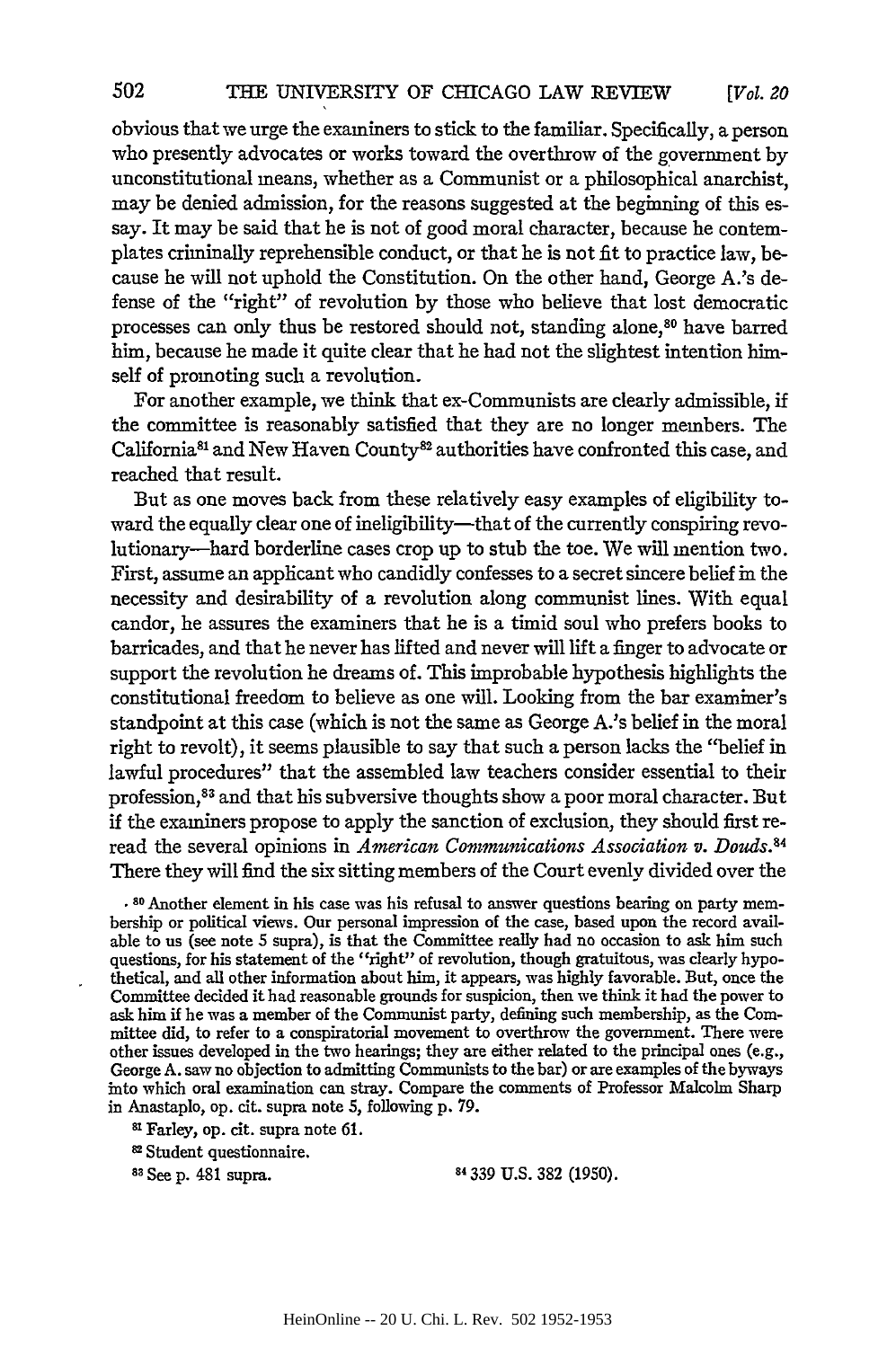obvious that we urge the examiners to stick to the familiar. Specifically, a person who presently advocates or works toward the overthrow of the government by unconstitutional means, whether as a Communist or a philosophical anarchist, may be denied admission, for the reasons suggested at the beginning of this essay. It may be said that he is not of good moral character, because he contemplates criminally reprehensible conduct, or that he is not fit to practice law, because he will not uphold the Constitution. On the other hand, George A.'s defense of the "right" of revolution by those who believe that lost democratic processes can only thus be restored should not, standing alone,80 have barred him, because he made it quite clear that he had not the slightest intention himself of promoting such a revolution.

For another example, we think that ex-Communists are clearly admissible, if the committee is reasonably satisfied that they are no longer members. The California<sup>81</sup> and New Haven County<sup>82</sup> authorities have confronted this case, and reached that result.

But as one moves back from these relatively easy examples of eligibility toward the equally clear one of ineligibility-that of the currently conspiring revolutionary-hard borderline cases crop up to stub the toe. We will mention two. First, assume an applicant who candidly confesses to a secret sincere belief in the necessity and desirability of a revolution along communist lines. With equal candor, he assures the examiners that he is a timid soul who prefers books to barricades, and that he never has lifted and never will lift a finger to advocate or support the revolution he dreams of. This improbable hypothesis highlights the constitutional freedom to believe as one will. Looking from the bar examiner's standpoint at this case (which is not the same as George A.'s belief in the moral right to revolt), it seems plausible to say that such a person lacks the "belief in lawful procedures" that the assembled law teachers consider essential to their profession,<sup>83</sup> and that his subversive thoughts show a poor moral character. But if the examiners propose to apply the sanction of exclusion, they should first reread the several opinions in *American Communications Association v. Douds.84* There they will find the six sitting members of the Court evenly divided over the

**'** 80 Another element in his case was his refusal to answer questions bearing on party membership or political views. Our personal impression of the case, based upon the record available to us (see note 5 supra), is that the Committee really had no occasion to ask him such questions, for his statement of the "right" of revolution, though gratuitous, was clearly hypo-thetical, and all other information about him, it appears, was highly favorable. But, once the Committee decided it had reasonable grounds for suspicion, then we think it had the power to ask him if he was a member of the Communist party, defining such membership, as the Committee did, to refer to a conspiratorial movement to overthrow the government. There were other issues developed in the two hearings; they are either related to the principal ones (e.g., George A. saw no objection to admitting Communists to the bar) or are examples of the byways into which oral examination can stray. Compare the comments of Professor Malcolm Sharp in Anastaplo, op. cit. supra note 5, following p. 79.

<sup>81</sup> Farley, op. cit. supra note 61

82Student questionnaire.

**81** See **p.** 481 supra. **84 339** U.S. 382 (1950).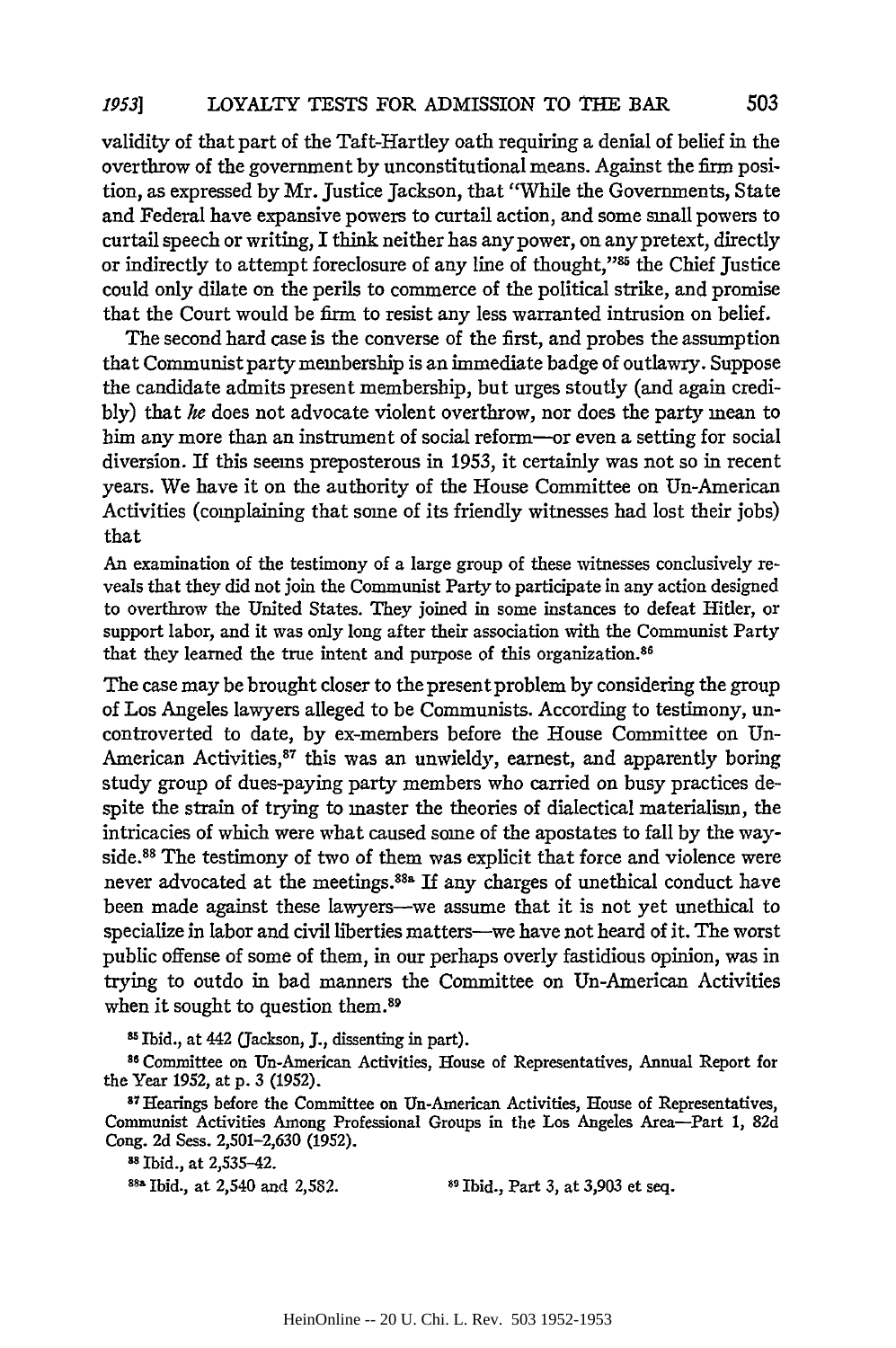validity of that part of the Taft-Hartley oath requiring a denial of belief in the overthrow of the government by unconstitutional means. Against the firm position, as expressed by Mr. justice Jackson, that "While the Governments, State and Federal have expansive powers to curtail action, and some small powers to curtail speech or writing, I think neither has any power, on any pretext, directly or indirectly to attempt foreclosure of any line of thought,"85 the Chief Justice could only dilate on the perils to commerce of the political strike, and promise that the Court would be firm to resist any less warranted intrusion on belief.

The second hard case is the converse of the first, and probes the assumption that Communist party membership is an immediate badge of outlawry. Suppose the candidate admits present membership, but urges stoutly (and again credibly) that *he* does not advocate violent overthrow, nor does the party mean to him any more than an instrument of social reform-or even a setting for social diversion. If this seems preposterous in 1953, it certainly was not so in recent years. We have it on the authority of the House Committee on Un-American Activities (complaining that some of its friendly witnesses had lost their jobs) that

An examination of the testimony of a large group of these witnesses conclusively reveals that they did not join the Communist Party to participate in any action designed to overthrow the United States. They joined in some instances to defeat Hitler, or support labor, and it was only long after their association with the Communist Party that they learned the true intent and purpose of this organization.<sup>86</sup>

The case may be brought closer to the present problem by considering the group of Los Angeles lawyers alleged to be Communists. According to testimony, uncontroverted to date, by ex-members before the House Committee on Un-American Activities,<sup>87</sup> this was an unwieldy, earnest, and apparently boring study group of dues-paying party members who carried on busy practices despite the strain of trying to master the theories of dialectical materialism, the intricacies of which were what caused some of the apostates to fall by the wayside.<sup>88</sup> The testimony of two of them was explicit that force and violence were never advocated at the meetings.<sup>88a</sup> If any charges of unethical conduct have been made against these lawyers-we assume that it is not yet unethical to specialize in labor and civil liberties matters-we have not heard of it. The worst public offense of some of them, in our perhaps overly fastidious opinion, was in trying to outdo in bad manners the Committee on Un-American Activities when it sought to question them.<sup>89</sup>

**81** Ibid., at 442 (Jackson, J., dissenting in part).

<sup>86</sup> Committee on Un-American Activities, House of Representatives, Annual Report for the Year 1952, at p. 3 (1952).

**s7** Hearings before the Committee on Un-American Activities, House of Representatives, Communist Activities Among Professional Groups in the Los Angeles Area-Part 1, 82d Cong. 2d Sess. 2,501-2,630 (1952). **<sup>s</sup>**Ibid., at 2,535-42.

**88a** Ibid., at 2,540 and 2,582. **89** Ibid., Part 3, at 3,903 et seq.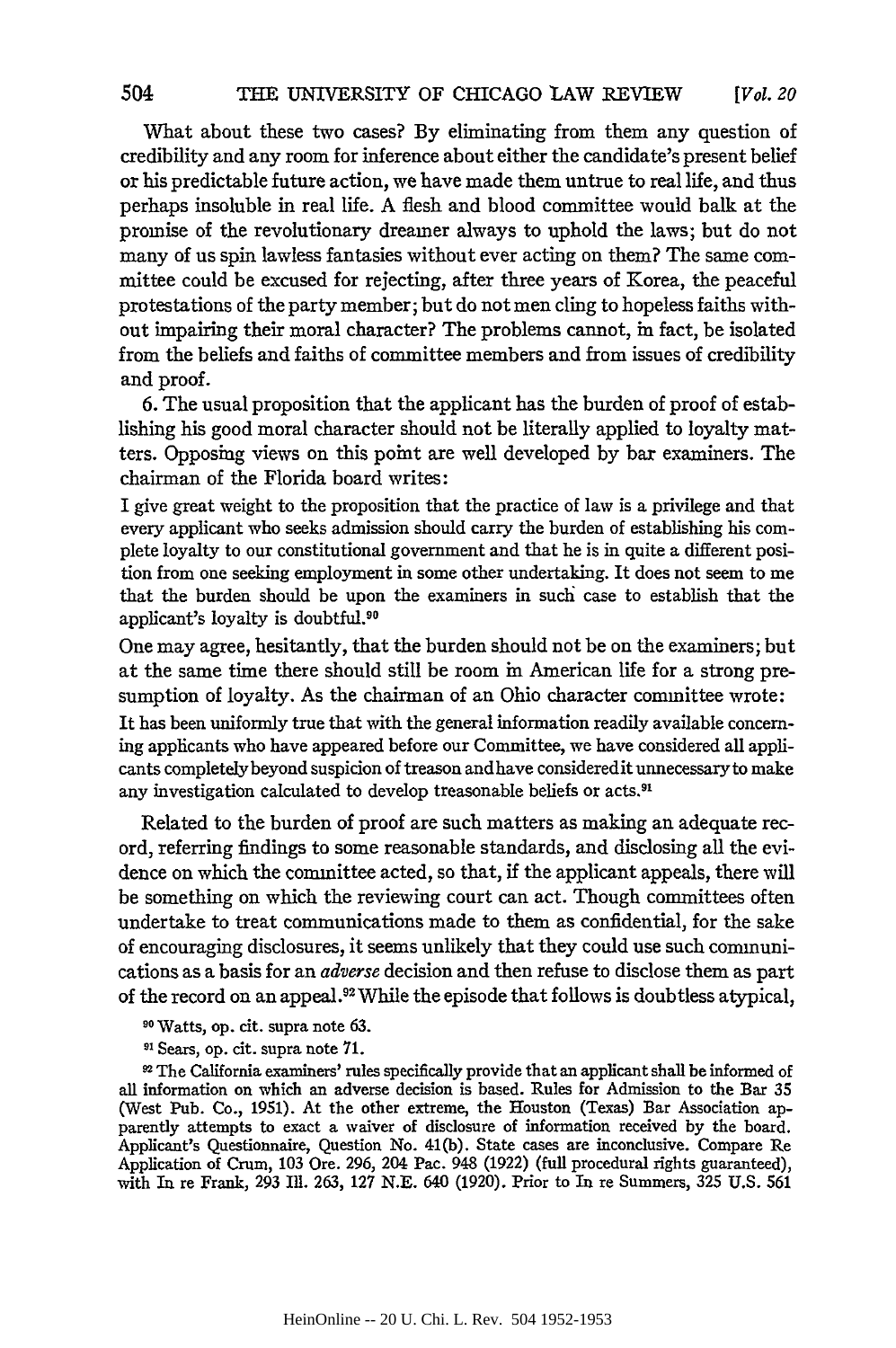What about these two cases? By eliminating from them any question of credibility and any room for inference about either the candidate's present belief or his predictable future action, we have made them untrue to real life, and thus perhaps insoluble in real life. A flesh and blood committee would balk at the promise of the revolutionary dreamer always to uphold the laws; but do not many of us spin lawless fantasies without ever acting on them? The same committee could be excused for rejecting, after three years of Korea, the peaceful protestations of the party member; but do not men cling to hopeless faiths without impairing their moral character? The problems cannot, in fact, be isolated from the beliefs and faiths of committee members and from issues of credibility and proof.

6. The usual proposition that the applicant has the burden of proof of establishing his good moral character should not be literally applied to loyalty matters. Opposing views on this point are well developed by bar examiners. The chairman of the Florida board writes:

I give great weight to the proposition that the practice of law is a privilege and that every applicant who seeks admission should carry the burden of establishing his complete loyalty to our constitutional government and that he is in quite a different position from one seeking employment in some other undertaking. It does not seem to me that the burden should be upon the examiners in such case to establish that the applicant's loyalty is doubtful.90

One may agree, hesitantly, that the burden should not be on the examiners; but at the same time there should still be room in American life for a strong presumption of loyalty. As the chairman of an Ohio character committee wrote:

It has been uniformly true that with the general information readily available concerning applicants who have appeared before our Committee, we have considered all applicants completelybeyond suspicion of treason andhave consideredit unnecessaryto make any investigation calculated to develop treasonable beliefs or acts.<sup>91</sup>

Related to the burden of proof are such matters as making an adequate record, referring findings to some reasonable standards, and disclosing all the evidence on which the committee acted, so that, if the applicant appeals, there will be something on which the reviewing court can act. Though committees often undertake to treat communications made to them as confidential, for the sake of encouraging disclosures, it seems unlikely that they could use such communications as a basis for an *adverse* decision and then refuse to disclose them as part of the record on an appeal.<sup>92</sup> While the episode that follows is doubtless atypical,

**90** Watts, op. cit. supra note 63.

**91** Sears, op. cit. supra note **71.**

"The California examiners' rules specifically provide that an applicant shall be informed of all information on which an adverse decision is based. Rules for Admission to the Bar 35 (West Pub. Co., 1951). At the other extreme, the Houston (Texas) Bar Association apparently attempts to exact a waiver of disclosure of information received by the board. Applicant's Questionnaire, Question No. 41(b). State cases are inconclusive. Compare Re Application of Crum, 103 Ore. 296, 204 Pac. 948 (1922) (full procedural rights guaranteed), with In re Frank, 293 IlL. 263, **127** N.E. 640 **(1920).** Prior to In re Summers, **325** U.S. **561**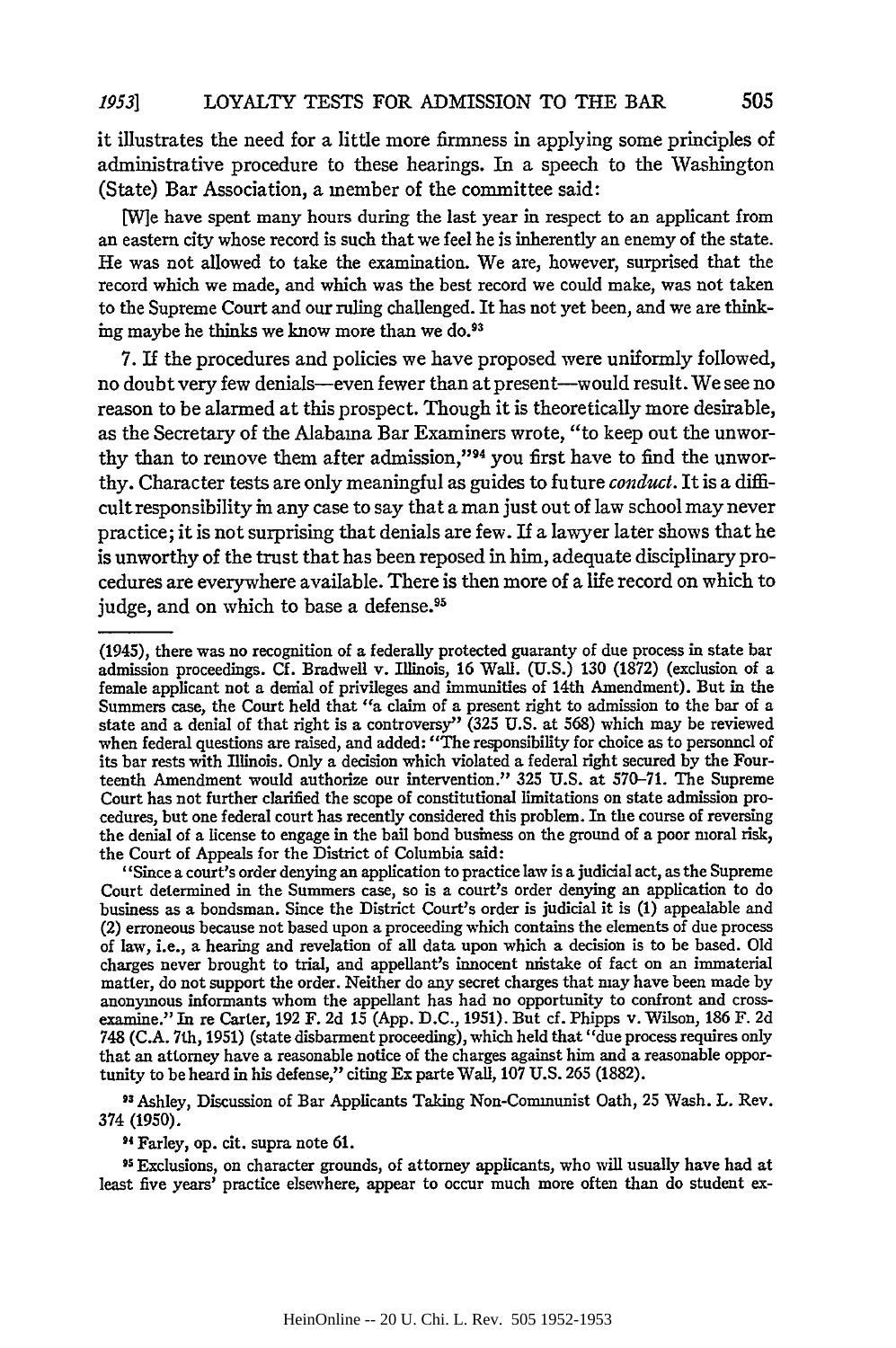it illustrates the need for a little more firmness in applying some principles of administrative procedure to these hearings. In a speech to the Washington (State) Bar Association, a member of the committee said:

[W]e have spent many hours during the last year in respect to an applicant from an eastern city whose record is such that we feel he is inherently an enemy of the state. He was not allowed to take the examination. We are, however, surprised that the record which we made, and which was the best record we could make, was not taken to the Supreme Court and our ruling challenged. It has not yet been, and we are thinking maybe he thinks we know more than we do.<sup>93</sup>

7. If the procedures and policies we have proposed were uniformly followed, no doubt very few denials-even fewer than at present-would result. We see no reason to be alarmed at this prospect. Though it is theoretically more desirable, as the Secretary of the Alabama Bar Examiners wrote, "to keep out the unworthy than to remove them after admission,"<sup>94</sup> you first have to find the unworthy. Character tests are only meaningful as guides to future *conduct.* It is a difficult responsibility in any case to say that a man just out of law school may never practice; it is not surprising that denials are few. If a lawyer later shows that he is unworthy of the trust that has been reposed in him, adequate disciplinary procedures are everywhere available. There is then more of a life record on which to judge, and on which to base a defense.<sup>95</sup>

93 Ashley, Discussion of Bar Applicants Taking Non-Communist Oath, **25** Wash. L. Rev. 374 (1950).

4 Farley, op. cit. supra note 61.

**5** Exclusions, on character grounds, of attorney applicants, who will usually have had at least five years' practice elsewhere, appear to occur much more often than do student ex-

<sup>(1945),</sup> there was no recognition of a federally protected guaranty of due process in state bar admission proceedings. Cf. Bradwell v. Illinois, 16 Wal. (U.S.) 130 (1872) (exclusion of a female applicant not a denial of privileges and immunities of 14th Amendment). But in the Summers case, the Court held that "a claim of a present right to admission to the bar of a state and a denial of that right is a controversy" (325 U.S. at 568) which may be reviewed when federal questions are raised, and added: "The responsibility for choice as to personnel of its bar rests with Illinois. Only a decision which violated a federal right secured by the Fourteenth Amendment would authorize our intervention." 325 U.S. at 570-71. The Supreme Court has not further clarified the scope of constitutional limitations on state admission procedures, but one federal court has recently considered this problem. In the course of reversing the denial of a license to engage in the bail bond business on the ground of a poor moral risk, the Court of Appeals for the District of Columbia said:

<sup>&</sup>quot;Since a court's order denying an application to practice law is a judicial act, as the Supreme Court determined in the Summers case, so is a court's order denying an application to do business as a bondsman. Since the District Court's order is judicial it is (1) appealable and (2) erroneous because not based upon a proceeding which contains the elements of due process of law, i.e., a hearing and revelation of all data upon which a decision is to be based. **Old** charges never brought to trial, and appellant's innocent mistake of fact on an immaterial matter, do not support the order. Neither do any secret charges that may have been made **by** anonymous informants whom the appellant has had no opportunity to confront and cross- examine." In re Carter, **192** F. **2d 15 (App. D.C.,** 1951). But cf. Phipps v. Wilson, **186** F. **2d 748 (C.A.** 7th, 1951) (state disbarment proceeding), which held that "due process requires only that an attorney have a reasonable notice of the charges against him and a reasonable opportunity to be heard in his defense," citing Ex parte Wall, **107 U.S. 265 (1882).**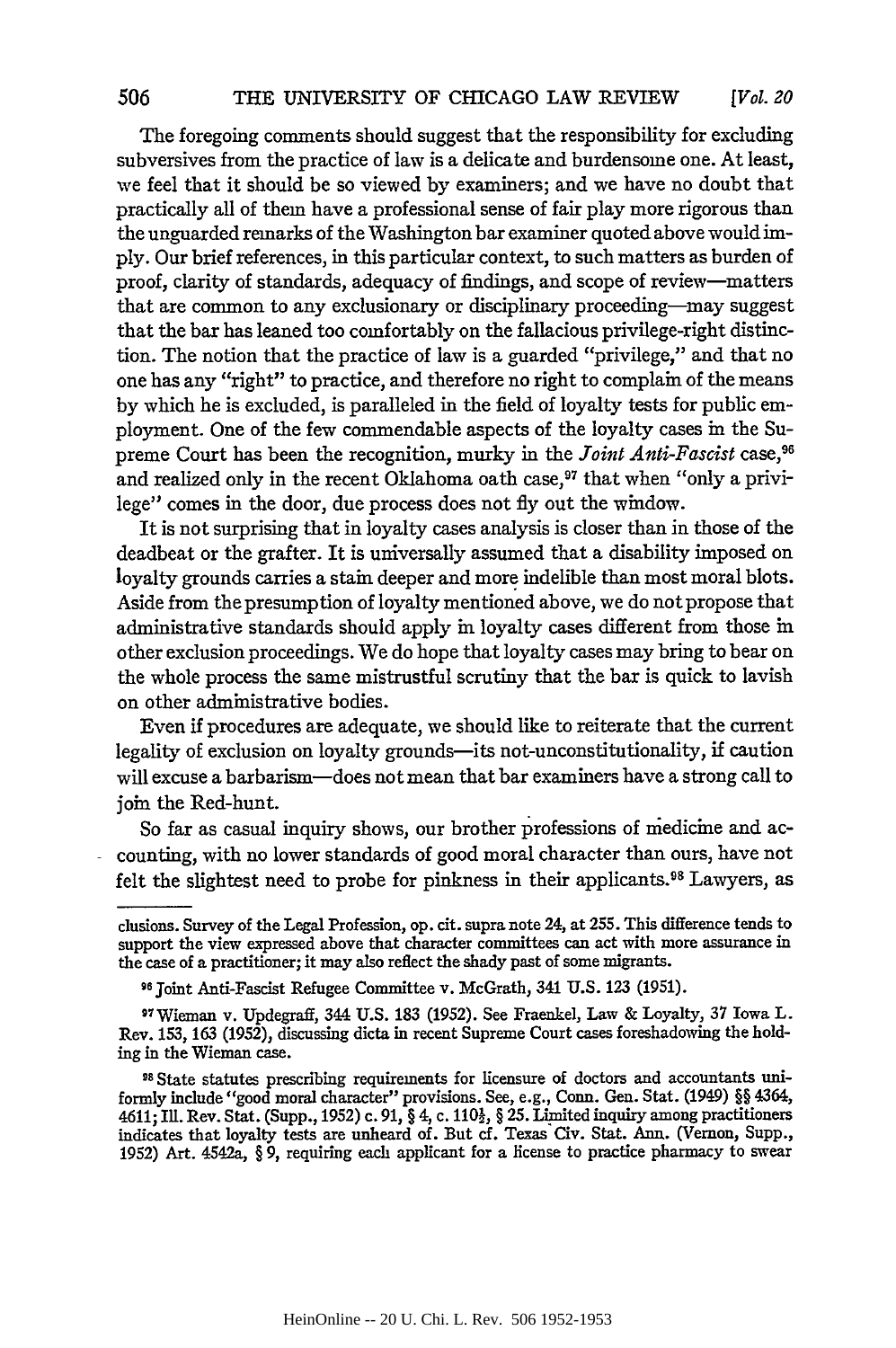The foregoing comments should suggest that the responsibility for excluding subversives from the practice of law is a delicate and burdensome one. At least, we feel that it should be so viewed by examiners; and we have no doubt that practically all of them have a professional sense of fair play more rigorous than the unguarded remarks of the Washington bar examiner quoted above would imply. Our brief references, in this particular context, to such matters as burden of proof, clarity of standards, adequacy of findings, and scope of review-matters that are common to any exclusionary or disciplinary proceeding-may suggest that the bar has leaned too comfortably on the fallacious privilege-right distinction. The notion that the practice of law is a guarded "privilege," and that no one has any "right" to practice, and therefore no right to complain of the means by which he is excluded, is paralleled in the field of loyalty tests for public employment. One of the few commendable aspects of the loyalty cases in the Supreme Court has been the recognition, murky in the *Joint Anti-Fascist* case,<sup>96</sup> and realized only in the recent Oklahoma oath case,<sup>97</sup> that when "only a privilege" comes in the door, due process does not fly out the window.

It is not surprising that in loyalty cases analysis is closer than in those of the deadbeat or the grafter. It is universally assumed that a disability imposed on loyalty grounds carries a stain deeper and more indelible than most moral blots. Aside from the presumption of loyalty mentioned above, we do not propose that administrative standards should apply in loyalty cases different from those in other exclusion proceedings. We do hope that loyalty cases may bring to bear on the whole process the same mistrustful scrutiny that the bar is quick to lavish on other administrative bodies.

Even if procedures are adequate, we should like to reiterate that the current legality of exclusion on loyalty grounds-its not-unconstitutionality, **if** caution will excuse a barbarism-does not mean that bar examiners have a strong call to join the Red-hunt.

So far as casual inquiry shows, our brother professions of medicine and accounting, with no lower standards of good moral character than ours, have not felt the slightest need to probe for pinkness in their applicants.<sup>98</sup> Lawyers, as

clusions. Survey of the Legal Profession, op. cit. supra note 24, at 255. This difference tends to support the view expressed above that character committees can act with more assurance in the case of a practitioner; it may also reflect the shady past of some migrants.

**<sup>96</sup>** joint Anti-Fascist Refugee Committee v. McGrath, 341 U.S. 123 (1951).

<sup>9&#</sup>x27;Wieman v. Updegraff, 344 U.S. 183 (1952). See Fraenkel, Law & Loyalty, **37** Iowa L. Rev. 153, 163 (1952), discussing dicta in recent Supreme Court cases foreshadowing the holding in the Wieman case.

**Is** State statutes prescribing requirements for licensure of doctors and accountants uniformly include "good moral character" provisions. See, e.g., Conn. Gen. Stat. (1949) §§ 4364, 4611; Ill. Rev. Stat. (Supp., 1952) c. 91, § 4, c. 110<sup>1</sup>/<sub>2</sub>, § 25. Limited inquiry among practitioners indicates that loyalty tests are unheard of. But **cf.** Texas Civ. Stat. Ann. (Vernon, Supp., 1952) Art. 4542a, § 9, requiring each applicant for a license to practice pharmacy to swear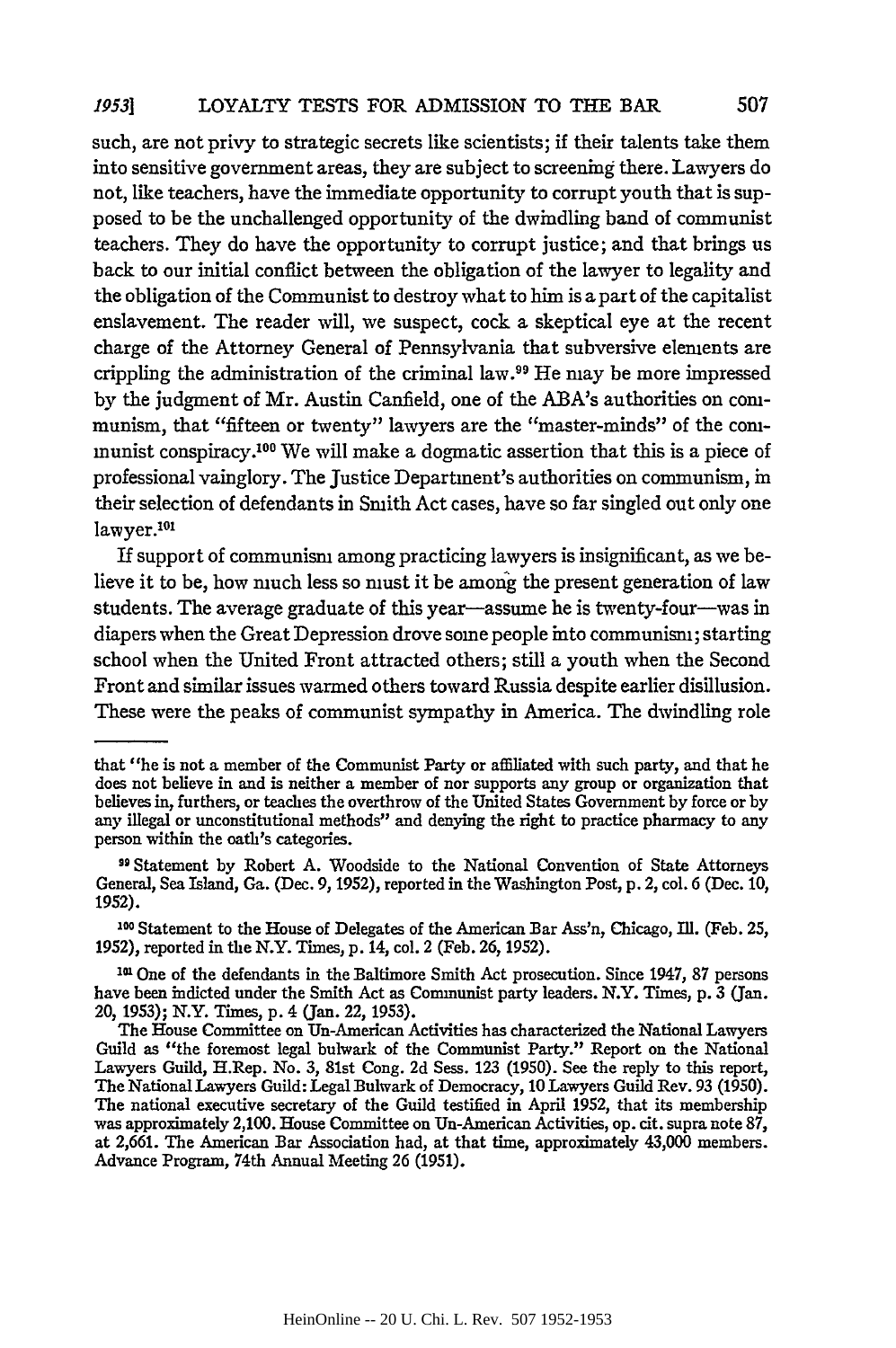such, are not privy to strategic secrets like scientists; if their talents take them into sensitive government areas, they are subject to screening there. Lawyers do not, like teachers, have the immediate opportunity to corrupt youth that is supposed to be the unchallenged opportunity of the dwindling band of communist teachers. They do have the opportunity to corrupt justice; and that brings us back to our initial conflict between the obligation of the lawyer to legality and the obligation of the Communist to destroy what to him is a part of the capitalist enslavement. The reader will, we suspect, cock a skeptical eye at the recent charge of the Attorney General of Pennsylvania that subversive elements are crippling the administration of the criminal law.99 He may be more impressed by the judgment of Mr. Austin Canfield, one of the ABA's authorities on communism, that "fifteen or twenty" lawyers are the "master-minds" of the communist conspiracy. 00 We will make a dogmatic assertion that this is a piece of professional vainglory. The Justice Department's authorities on communism, in their selection of defendants in Smith Act cases, have so far singled out only one lawyer.<sup>101</sup>

If support of communism among practicing lawyers is insignificant, as we believe it to be, how much less so must it be among the present generation of law students. The average graduate of this year—assume he is twenty-four—was in diapers when the Great Depression drove some people into communism; starting school when the United Front attracted others; still a youth when the Second Front and similar issues warmed others toward Russia despite earlier disillusion. These were the peaks of communist sympathy in America. The dwindling role

that "he is not a member of the Communist Party or affiliated with such party, and that he does not believe in and is neither a member of nor supports any group or organization that believes in, furthers, or teaches the overthrow of the United States Government by force or by any illegal or unconstitutional methods" and denying the right to practice pharmacy to any person within the oath's categories.

**<sup>99</sup>** Statement by Robert A. Woodside to the National Convention of State Attorneys General, Sea Island, **Ga.** (Dec. 9, 1952), reported in the Washington Post, p. 2, col. 6 (Dec. 10, 1952).

**<sup>100</sup>** Statement to the House of Delegates of the American Bar Ass'n, Chicago, Ill. (Feb. 25, 1952), reported in the N.Y. Times, p. 14, col. 2 (Feb. 26, 1952).

**<sup>0</sup>** One of the defendants in the Baltimore Smith Act prosecution. Since 1947, **87** persons have been indicted under the Smith Act as Communist party leaders. N.Y. Times, p. 3 (Jan. 20, 1953); N.Y. Times, p. 4 (Jan. 22, 1953).

The House Committee on Un-American Activities has characterized the National Lawyers Guild as "the foremost legal bulwark of the Communist Party." Report on the National Lawyers Guild, H.Rep. No. **3,** 81st Cong. **2d** Sess. **123 (1950).** See the reply to this report, The National Lawyers Guild: Legal Bulwark of Democracy, **10** Lawyers Guild Rev. 93 **(1950).** The national executive secretary of the Guild testified in April **1952,** that its membership was approximately 2,100. House Committee on Un-American Activities, op. cit. supra note **87,** at **2,661.** The American Bar Association had, at that time, approximately 43,000 members. Advance Program, 74th Annual Meeting **26 (1951).**